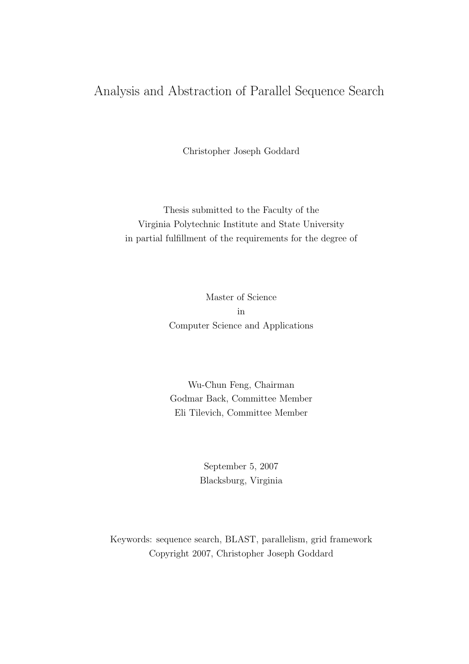#### Analysis and Abstraction of Parallel Sequence Search

Christopher Joseph Goddard

Thesis submitted to the Faculty of the Virginia Polytechnic Institute and State University in partial fulfillment of the requirements for the degree of

> Master of Science in Computer Science and Applications

> Wu-Chun Feng, Chairman Godmar Back, Committee Member Eli Tilevich, Committee Member

> > September 5, 2007 Blacksburg, Virginia

Keywords: sequence search, BLAST, parallelism, grid framework Copyright 2007, Christopher Joseph Goddard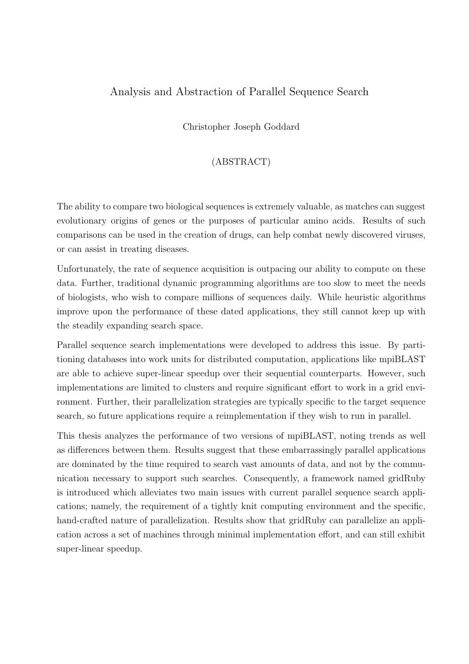#### Analysis and Abstraction of Parallel Sequence Search

Christopher Joseph Goddard

#### (ABSTRACT)

The ability to compare two biological sequences is extremely valuable, as matches can suggest evolutionary origins of genes or the purposes of particular amino acids. Results of such comparisons can be used in the creation of drugs, can help combat newly discovered viruses, or can assist in treating diseases.

Unfortunately, the rate of sequence acquisition is outpacing our ability to compute on these data. Further, traditional dynamic programming algorithms are too slow to meet the needs of biologists, who wish to compare millions of sequences daily. While heuristic algorithms improve upon the performance of these dated applications, they still cannot keep up with the steadily expanding search space.

Parallel sequence search implementations were developed to address this issue. By partitioning databases into work units for distributed computation, applications like mpiBLAST are able to achieve super-linear speedup over their sequential counterparts. However, such implementations are limited to clusters and require significant effort to work in a grid environment. Further, their parallelization strategies are typically specific to the target sequence search, so future applications require a reimplementation if they wish to run in parallel.

This thesis analyzes the performance of two versions of mpiBLAST, noting trends as well as differences between them. Results suggest that these embarrassingly parallel applications are dominated by the time required to search vast amounts of data, and not by the communication necessary to support such searches. Consequently, a framework named gridRuby is introduced which alleviates two main issues with current parallel sequence search applications; namely, the requirement of a tightly knit computing environment and the specific, hand-crafted nature of parallelization. Results show that gridRuby can parallelize an application across a set of machines through minimal implementation effort, and can still exhibit super-linear speedup.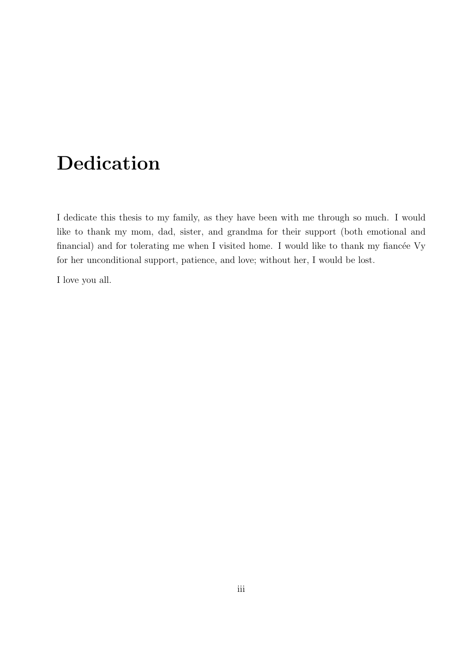# Dedication

I dedicate this thesis to my family, as they have been with me through so much. I would like to thank my mom, dad, sister, and grandma for their support (both emotional and financial) and for tolerating me when I visited home. I would like to thank my fiance  $V_y$ for her unconditional support, patience, and love; without her, I would be lost.

I love you all.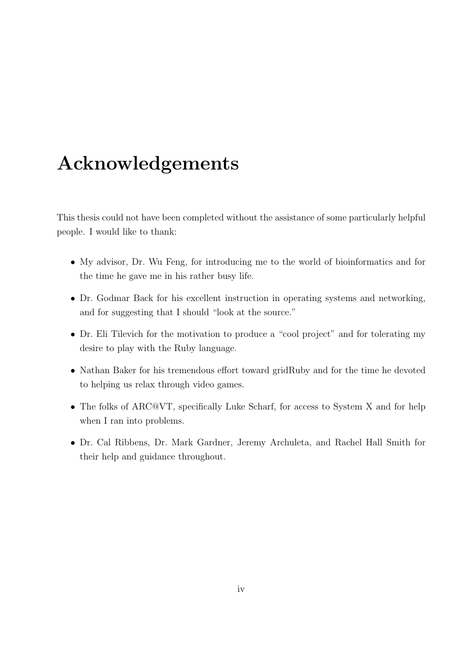# Acknowledgements

This thesis could not have been completed without the assistance of some particularly helpful people. I would like to thank:

- My advisor, Dr. Wu Feng, for introducing me to the world of bioinformatics and for the time he gave me in his rather busy life.
- Dr. Godmar Back for his excellent instruction in operating systems and networking, and for suggesting that I should "look at the source."
- Dr. Eli Tilevich for the motivation to produce a "cool project" and for tolerating my desire to play with the Ruby language.
- Nathan Baker for his tremendous effort toward gridRuby and for the time he devoted to helping us relax through video games.
- The folks of ARC@VT, specifically Luke Scharf, for access to System X and for help when I ran into problems.
- Dr. Cal Ribbens, Dr. Mark Gardner, Jeremy Archuleta, and Rachel Hall Smith for their help and guidance throughout.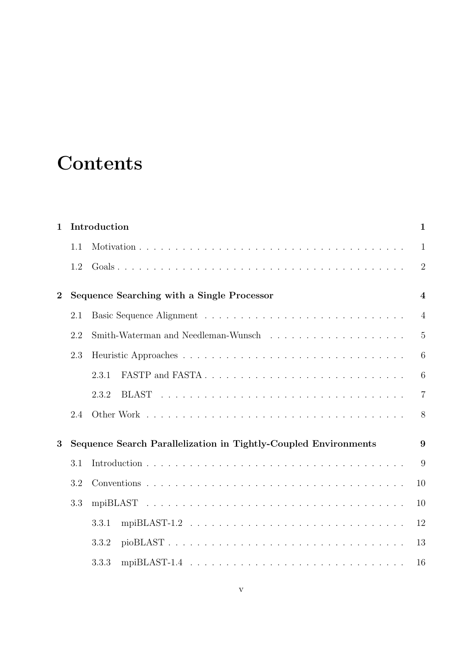# **Contents**

| $\mathbf{1}$     |     | Introduction                                                    | $\mathbf{1}$   |
|------------------|-----|-----------------------------------------------------------------|----------------|
|                  | 1.1 |                                                                 | $\mathbf{1}$   |
|                  | 1.2 |                                                                 | $\overline{2}$ |
| $\boldsymbol{2}$ |     | Sequence Searching with a Single Processor                      | $\overline{4}$ |
|                  | 2.1 |                                                                 | $\overline{4}$ |
|                  | 2.2 |                                                                 | 5              |
|                  | 2.3 |                                                                 | 6              |
|                  |     | 2.3.1                                                           | 6              |
|                  |     | 2.3.2                                                           | $\overline{7}$ |
|                  | 2.4 |                                                                 | 8              |
| 3                |     | Sequence Search Parallelization in Tightly-Coupled Environments | 9              |
|                  | 3.1 |                                                                 | 9              |
|                  | 3.2 |                                                                 | 10             |
|                  | 3.3 |                                                                 | 10             |
|                  |     | 3.3.1                                                           | 12             |
|                  |     | pioBLAST<br>3.3.2                                               | 13             |
|                  |     | 3.3.3                                                           | 16             |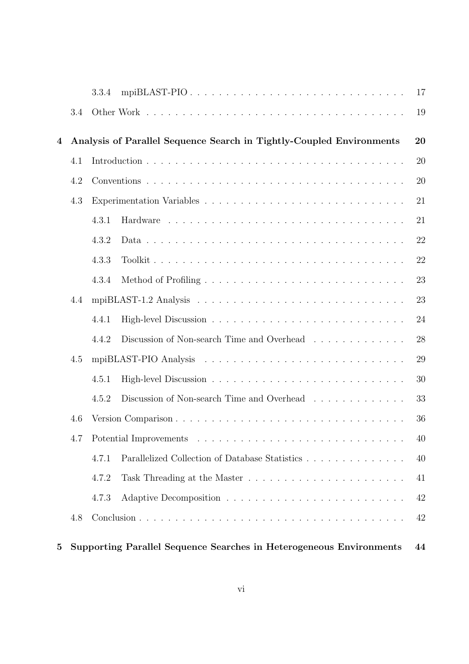|                |     | 3.3.4 | mpiBLAST-PIO                                                             | 17 |
|----------------|-----|-------|--------------------------------------------------------------------------|----|
|                | 3.4 |       |                                                                          | 19 |
| $\overline{4}$ |     |       | Analysis of Parallel Sequence Search in Tightly-Coupled Environments     | 20 |
|                | 4.1 |       |                                                                          | 20 |
|                | 4.2 |       |                                                                          | 20 |
|                | 4.3 |       |                                                                          | 21 |
|                |     | 4.3.1 |                                                                          | 21 |
|                |     | 4.3.2 |                                                                          | 22 |
|                |     | 4.3.3 |                                                                          | 22 |
|                |     | 4.3.4 |                                                                          | 23 |
|                | 4.4 |       |                                                                          | 23 |
|                |     | 4.4.1 |                                                                          | 24 |
|                |     | 4.4.2 | Discussion of Non-search Time and Overhead $\ldots \ldots \ldots \ldots$ | 28 |
|                | 4.5 |       |                                                                          | 29 |
|                |     | 4.5.1 |                                                                          | 30 |
|                |     | 4.5.2 | Discussion of Non-search Time and Overhead                               | 33 |
|                | 4.6 |       |                                                                          | 36 |
|                |     |       |                                                                          | 40 |
|                |     | 4.7.1 | Parallelized Collection of Database Statistics                           | 40 |
|                |     | 4.7.2 |                                                                          | 41 |
|                |     | 4.7.3 |                                                                          | 42 |
|                | 4.8 |       |                                                                          | 42 |
|                |     |       |                                                                          |    |
|                |     |       |                                                                          |    |

#### 5 Supporting Parallel Sequence Searches in Heterogeneous Environments 44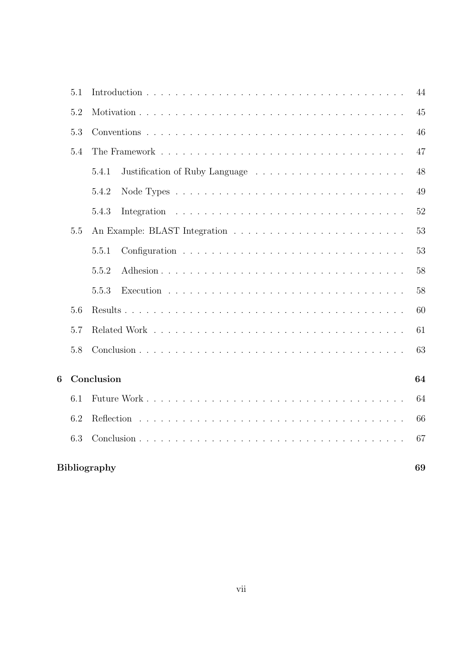|   | 5.1 |                     | 44 |
|---|-----|---------------------|----|
|   | 5.2 |                     | 45 |
|   | 5.3 |                     | 46 |
|   | 5.4 |                     | 47 |
|   |     | 5.4.1               | 48 |
|   |     | 5.4.2               | 49 |
|   |     | 5.4.3               | 52 |
|   | 5.5 |                     | 53 |
|   |     | 5.5.1               | 53 |
|   |     | 5.5.2               | 58 |
|   |     | 5.5.3               | 58 |
|   | 5.6 |                     | 60 |
|   | 5.7 |                     | 61 |
|   | 5.8 |                     | 63 |
| 6 |     | Conclusion          | 64 |
|   | 6.1 |                     | 64 |
|   | 6.2 |                     | 66 |
|   | 6.3 |                     | 67 |
|   |     | <b>Bibliography</b> | 69 |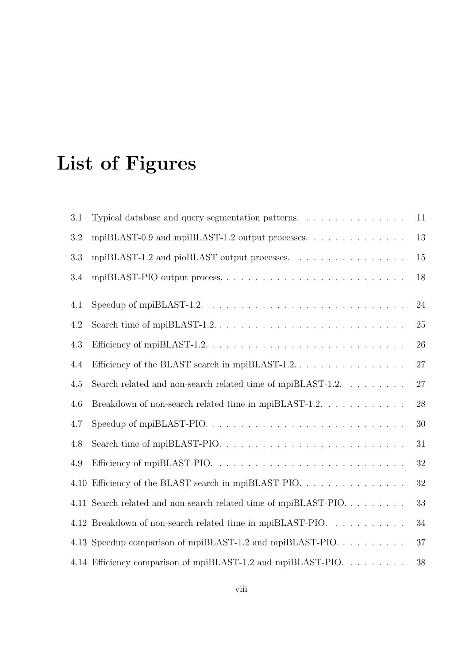# List of Figures

| 3.1 | Typical database and query segmentation patterns.                                                | 11     |
|-----|--------------------------------------------------------------------------------------------------|--------|
| 3.2 | mpiBLAST-0.9 and mpiBLAST-1.2 output processes. $\dots \dots \dots \dots$                        | 13     |
| 3.3 |                                                                                                  | 15     |
| 3.4 | mpiBLAST-PIO output process                                                                      | 18     |
| 4.1 | Speedup of mpiBLAST-1.2. $\ldots \ldots \ldots \ldots \ldots \ldots \ldots \ldots \ldots \ldots$ | 24     |
| 4.2 |                                                                                                  | 25     |
| 4.3 |                                                                                                  | 26     |
| 4.4 |                                                                                                  | 27     |
| 4.5 | Search related and non-search related time of mpiBLAST-1.2. $\ldots \ldots \ldots$               | $27\,$ |
| 4.6 | Breakdown of non-search related time in mpiBLAST-1.2. $\ldots$                                   | 28     |
| 4.7 |                                                                                                  | 30     |
| 4.8 |                                                                                                  | 31     |
| 4.9 |                                                                                                  | 32     |
|     | 4.10 Efficiency of the BLAST search in mpiBLAST-PIO.                                             | 32     |
|     | 4.11 Search related and non-search related time of mpiBLAST-PIO                                  | 33     |
|     | 4.12 Breakdown of non-search related time in mpiBLAST-PIO.                                       | 34     |
|     | 4.13 Speedup comparison of mpiBLAST-1.2 and mpiBLAST-PIO                                         | 37     |
|     | 4.14 Efficiency comparison of mpiBLAST-1.2 and mpiBLAST-PIO.                                     | 38     |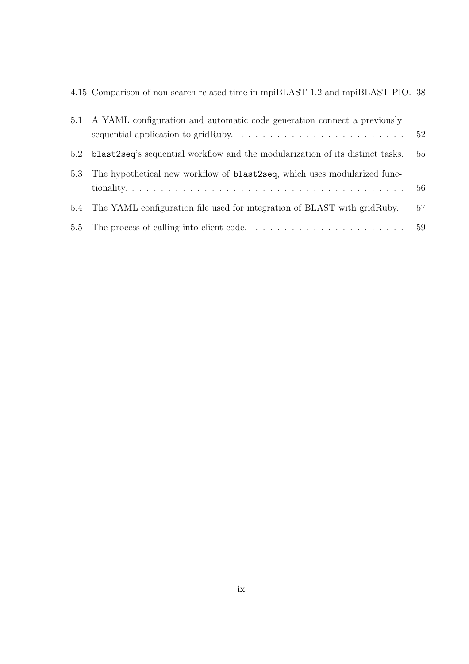|  |  |  | 4.15 Comparison of non-search related time in mpiBLAST-1.2 and mpiBLAST-PIO. 38 |  |
|--|--|--|---------------------------------------------------------------------------------|--|
|  |  |  |                                                                                 |  |

|     | 5.1 A YAML configuration and automatic code generation connect a previously                 |    |
|-----|---------------------------------------------------------------------------------------------|----|
|     | sequential application to gridRuby. $\dots \dots \dots \dots \dots \dots \dots \dots \dots$ | 52 |
| 5.2 | blast2seq's sequential workflow and the modularization of its distinct tasks.               | 55 |
| 5.3 | The hypothetical new workflow of <b>blast2seq</b> , which uses modularized func-            |    |
|     |                                                                                             | 56 |
| 5.4 | The YAML configuration file used for integration of BLAST with gridRuby.                    | 57 |
|     |                                                                                             | 59 |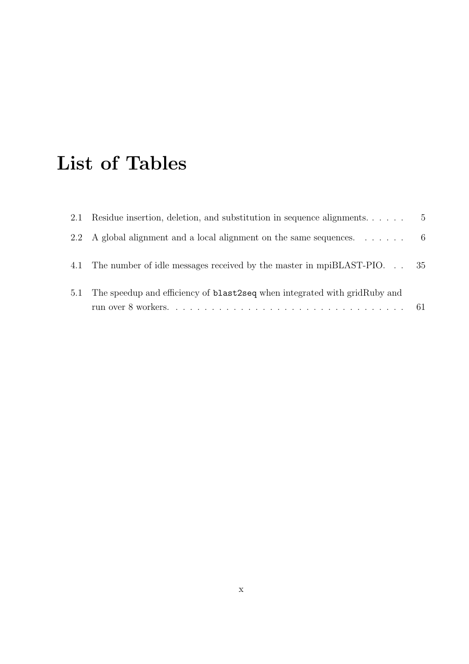# List of Tables

| 2.1 | Residue insertion, deletion, and substitution in sequence alignments              | $\mathbf{5}$ |
|-----|-----------------------------------------------------------------------------------|--------------|
|     | 2.2 A global alignment and a local alignment on the same sequences. $\dots \dots$ |              |
|     | 4.1 The number of idle messages received by the master in mpiBLAST-PIO. 35        |              |
| 5.1 | The speedup and efficiency of <b>blast2seq</b> when integrated with gridRuby and  |              |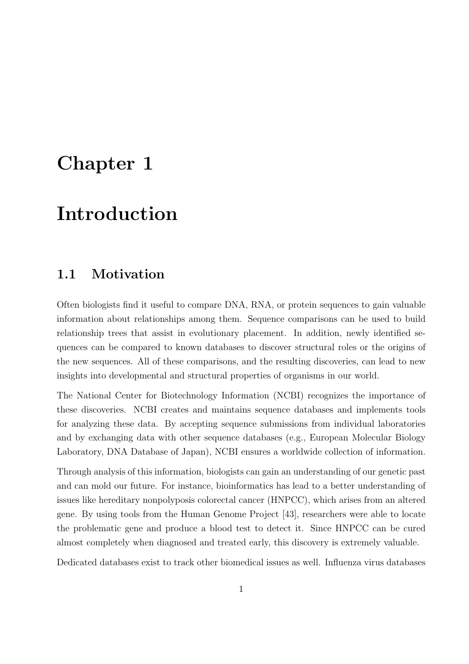# Chapter 1

# Introduction

#### 1.1 Motivation

Often biologists find it useful to compare DNA, RNA, or protein sequences to gain valuable information about relationships among them. Sequence comparisons can be used to build relationship trees that assist in evolutionary placement. In addition, newly identified sequences can be compared to known databases to discover structural roles or the origins of the new sequences. All of these comparisons, and the resulting discoveries, can lead to new insights into developmental and structural properties of organisms in our world.

The National Center for Biotechnology Information (NCBI) recognizes the importance of these discoveries. NCBI creates and maintains sequence databases and implements tools for analyzing these data. By accepting sequence submissions from individual laboratories and by exchanging data with other sequence databases (e.g., European Molecular Biology Laboratory, DNA Database of Japan), NCBI ensures a worldwide collection of information.

Through analysis of this information, biologists can gain an understanding of our genetic past and can mold our future. For instance, bioinformatics has lead to a better understanding of issues like hereditary nonpolyposis colorectal cancer (HNPCC), which arises from an altered gene. By using tools from the Human Genome Project [43], researchers were able to locate the problematic gene and produce a blood test to detect it. Since HNPCC can be cured almost completely when diagnosed and treated early, this discovery is extremely valuable.

Dedicated databases exist to track other biomedical issues as well. Influenza virus databases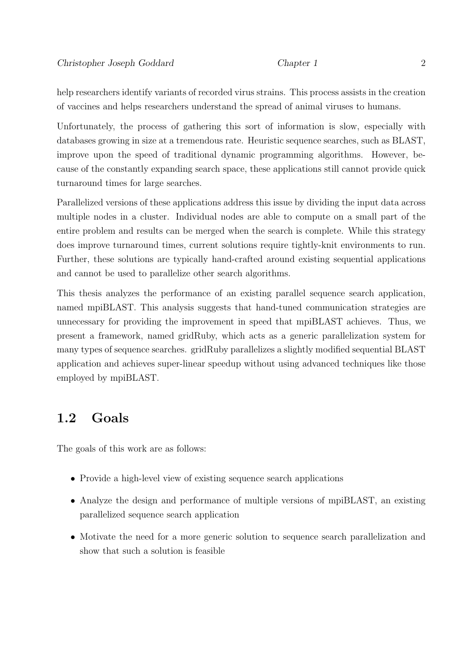help researchers identify variants of recorded virus strains. This process assists in the creation of vaccines and helps researchers understand the spread of animal viruses to humans.

Unfortunately, the process of gathering this sort of information is slow, especially with databases growing in size at a tremendous rate. Heuristic sequence searches, such as BLAST, improve upon the speed of traditional dynamic programming algorithms. However, because of the constantly expanding search space, these applications still cannot provide quick turnaround times for large searches.

Parallelized versions of these applications address this issue by dividing the input data across multiple nodes in a cluster. Individual nodes are able to compute on a small part of the entire problem and results can be merged when the search is complete. While this strategy does improve turnaround times, current solutions require tightly-knit environments to run. Further, these solutions are typically hand-crafted around existing sequential applications and cannot be used to parallelize other search algorithms.

This thesis analyzes the performance of an existing parallel sequence search application, named mpiBLAST. This analysis suggests that hand-tuned communication strategies are unnecessary for providing the improvement in speed that mpiBLAST achieves. Thus, we present a framework, named gridRuby, which acts as a generic parallelization system for many types of sequence searches. gridRuby parallelizes a slightly modified sequential BLAST application and achieves super-linear speedup without using advanced techniques like those employed by mpiBLAST.

### 1.2 Goals

The goals of this work are as follows:

- Provide a high-level view of existing sequence search applications
- Analyze the design and performance of multiple versions of mpiBLAST, an existing parallelized sequence search application
- Motivate the need for a more generic solution to sequence search parallelization and show that such a solution is feasible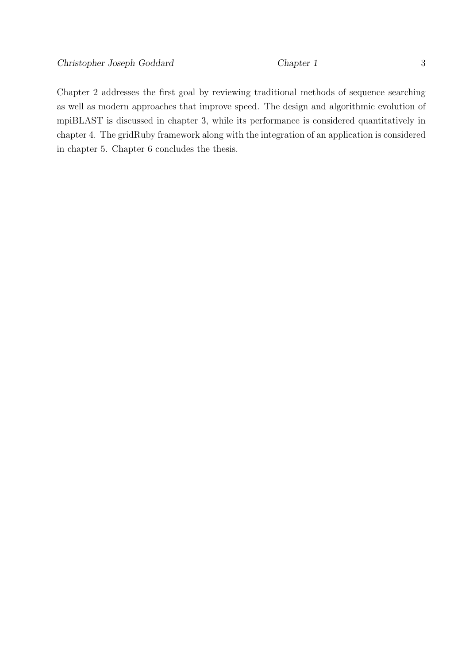Chapter 2 addresses the first goal by reviewing traditional methods of sequence searching

as well as modern approaches that improve speed. The design and algorithmic evolution of mpiBLAST is discussed in chapter 3, while its performance is considered quantitatively in chapter 4. The gridRuby framework along with the integration of an application is considered in chapter 5. Chapter 6 concludes the thesis.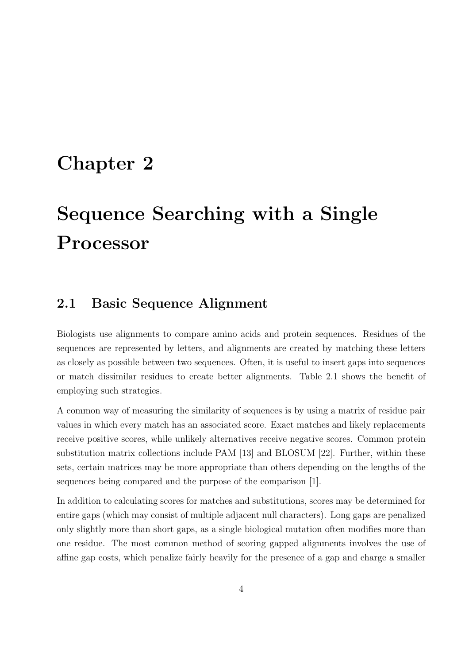## Chapter 2

# Sequence Searching with a Single Processor

### 2.1 Basic Sequence Alignment

Biologists use alignments to compare amino acids and protein sequences. Residues of the sequences are represented by letters, and alignments are created by matching these letters as closely as possible between two sequences. Often, it is useful to insert gaps into sequences or match dissimilar residues to create better alignments. Table 2.1 shows the benefit of employing such strategies.

A common way of measuring the similarity of sequences is by using a matrix of residue pair values in which every match has an associated score. Exact matches and likely replacements receive positive scores, while unlikely alternatives receive negative scores. Common protein substitution matrix collections include PAM [13] and BLOSUM [22]. Further, within these sets, certain matrices may be more appropriate than others depending on the lengths of the sequences being compared and the purpose of the comparison [1].

In addition to calculating scores for matches and substitutions, scores may be determined for entire gaps (which may consist of multiple adjacent null characters). Long gaps are penalized only slightly more than short gaps, as a single biological mutation often modifies more than one residue. The most common method of scoring gapped alignments involves the use of affine gap costs, which penalize fairly heavily for the presence of a gap and charge a smaller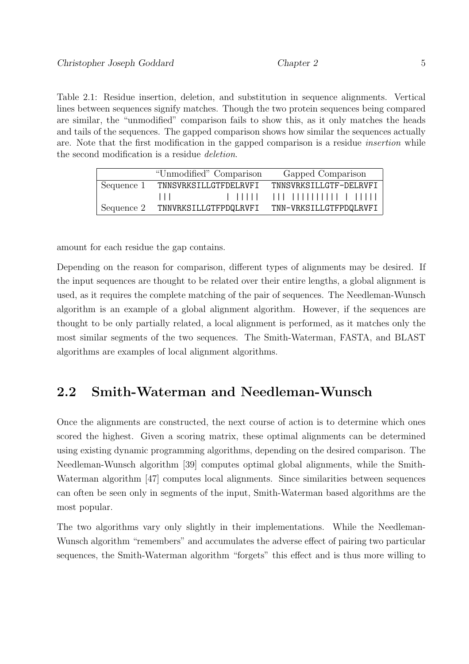Table 2.1: Residue insertion, deletion, and substitution in sequence alignments. Vertical lines between sequences signify matches. Though the two protein sequences being compared are similar, the "unmodified" comparison fails to show this, as it only matches the heads and tails of the sequences. The gapped comparison shows how similar the sequences actually are. Note that the first modification in the gapped comparison is a residue insertion while the second modification is a residue deletion.

|            | "Unmodified" Comparison | Gapped Comparison      |
|------------|-------------------------|------------------------|
| Sequence 1 | TNNSVRKSILLGTFDELRVFI   | TNNSVRKSILLGTF-DFLRVFI |
|            | $\Box$                  |                        |
| Sequence 2 | TNNVRKSILLGTFPDQLRVFI   | TNN-VRKSILLGTFPDQLRVFI |

amount for each residue the gap contains.

Depending on the reason for comparison, different types of alignments may be desired. If the input sequences are thought to be related over their entire lengths, a global alignment is used, as it requires the complete matching of the pair of sequences. The Needleman-Wunsch algorithm is an example of a global alignment algorithm. However, if the sequences are thought to be only partially related, a local alignment is performed, as it matches only the most similar segments of the two sequences. The Smith-Waterman, FASTA, and BLAST algorithms are examples of local alignment algorithms.

#### 2.2 Smith-Waterman and Needleman-Wunsch

Once the alignments are constructed, the next course of action is to determine which ones scored the highest. Given a scoring matrix, these optimal alignments can be determined using existing dynamic programming algorithms, depending on the desired comparison. The Needleman-Wunsch algorithm [39] computes optimal global alignments, while the Smith-Waterman algorithm [47] computes local alignments. Since similarities between sequences can often be seen only in segments of the input, Smith-Waterman based algorithms are the most popular.

The two algorithms vary only slightly in their implementations. While the Needleman-Wunsch algorithm "remembers" and accumulates the adverse effect of pairing two particular sequences, the Smith-Waterman algorithm "forgets" this effect and is thus more willing to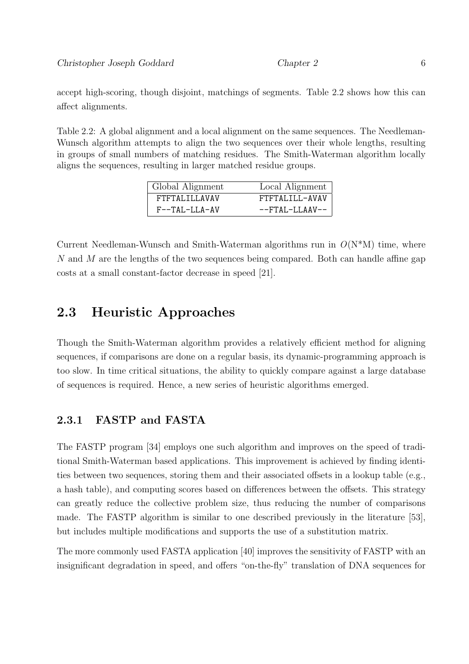accept high-scoring, though disjoint, matchings of segments. Table 2.2 shows how this can affect alignments.

Table 2.2: A global alignment and a local alignment on the same sequences. The Needleman-Wunsch algorithm attempts to align the two sequences over their whole lengths, resulting in groups of small numbers of matching residues. The Smith-Waterman algorithm locally aligns the sequences, resulting in larger matched residue groups.

| Global Alignment | Local Alignment           |
|------------------|---------------------------|
| FTFTALILLAVAV    | FTFTALILL-AVAV            |
| $F--TAL-LLA-AV$  | $--FTAI$ . $-I.I$ A $N--$ |

Current Needleman-Wunsch and Smith-Waterman algorithms run in  $O(N^*M)$  time, where N and M are the lengths of the two sequences being compared. Both can handle affine gap costs at a small constant-factor decrease in speed [21].

#### 2.3 Heuristic Approaches

Though the Smith-Waterman algorithm provides a relatively efficient method for aligning sequences, if comparisons are done on a regular basis, its dynamic-programming approach is too slow. In time critical situations, the ability to quickly compare against a large database of sequences is required. Hence, a new series of heuristic algorithms emerged.

#### 2.3.1 FASTP and FASTA

The FASTP program [34] employs one such algorithm and improves on the speed of traditional Smith-Waterman based applications. This improvement is achieved by finding identities between two sequences, storing them and their associated offsets in a lookup table (e.g., a hash table), and computing scores based on differences between the offsets. This strategy can greatly reduce the collective problem size, thus reducing the number of comparisons made. The FASTP algorithm is similar to one described previously in the literature [53], but includes multiple modifications and supports the use of a substitution matrix.

The more commonly used FASTA application [40] improves the sensitivity of FASTP with an insignificant degradation in speed, and offers "on-the-fly" translation of DNA sequences for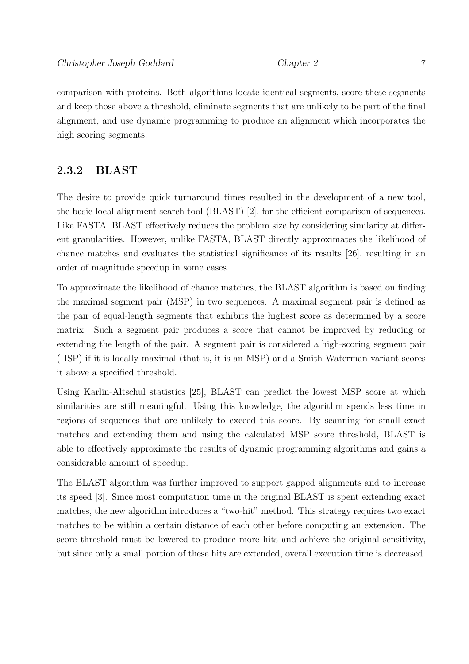comparison with proteins. Both algorithms locate identical segments, score these segments and keep those above a threshold, eliminate segments that are unlikely to be part of the final alignment, and use dynamic programming to produce an alignment which incorporates the high scoring segments.

#### 2.3.2 BLAST

The desire to provide quick turnaround times resulted in the development of a new tool, the basic local alignment search tool (BLAST) [2], for the efficient comparison of sequences. Like FASTA, BLAST effectively reduces the problem size by considering similarity at different granularities. However, unlike FASTA, BLAST directly approximates the likelihood of chance matches and evaluates the statistical significance of its results [26], resulting in an order of magnitude speedup in some cases.

To approximate the likelihood of chance matches, the BLAST algorithm is based on finding the maximal segment pair (MSP) in two sequences. A maximal segment pair is defined as the pair of equal-length segments that exhibits the highest score as determined by a score matrix. Such a segment pair produces a score that cannot be improved by reducing or extending the length of the pair. A segment pair is considered a high-scoring segment pair (HSP) if it is locally maximal (that is, it is an MSP) and a Smith-Waterman variant scores it above a specified threshold.

Using Karlin-Altschul statistics [25], BLAST can predict the lowest MSP score at which similarities are still meaningful. Using this knowledge, the algorithm spends less time in regions of sequences that are unlikely to exceed this score. By scanning for small exact matches and extending them and using the calculated MSP score threshold, BLAST is able to effectively approximate the results of dynamic programming algorithms and gains a considerable amount of speedup.

The BLAST algorithm was further improved to support gapped alignments and to increase its speed [3]. Since most computation time in the original BLAST is spent extending exact matches, the new algorithm introduces a "two-hit" method. This strategy requires two exact matches to be within a certain distance of each other before computing an extension. The score threshold must be lowered to produce more hits and achieve the original sensitivity, but since only a small portion of these hits are extended, overall execution time is decreased.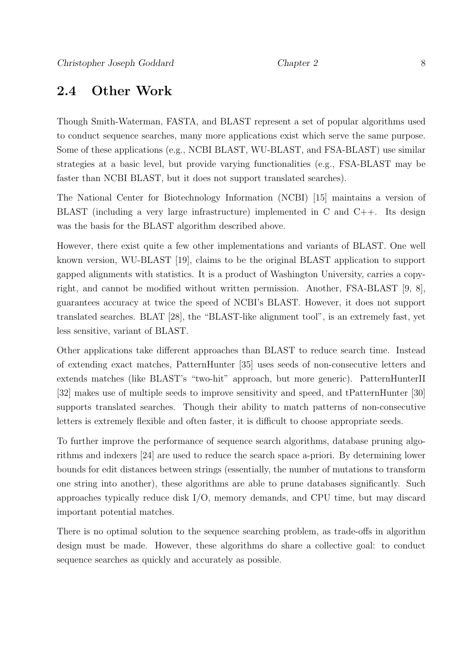#### 2.4 Other Work

Though Smith-Waterman, FASTA, and BLAST represent a set of popular algorithms used to conduct sequence searches, many more applications exist which serve the same purpose. Some of these applications (e.g., NCBI BLAST, WU-BLAST, and FSA-BLAST) use similar strategies at a basic level, but provide varying functionalities (e.g., FSA-BLAST may be faster than NCBI BLAST, but it does not support translated searches).

The National Center for Biotechnology Information (NCBI) [15] maintains a version of BLAST (including a very large infrastructure) implemented in C and C++. Its design was the basis for the BLAST algorithm described above.

However, there exist quite a few other implementations and variants of BLAST. One well known version, WU-BLAST [19], claims to be the original BLAST application to support gapped alignments with statistics. It is a product of Washington University, carries a copyright, and cannot be modified without written permission. Another, FSA-BLAST [9, 8], guarantees accuracy at twice the speed of NCBI's BLAST. However, it does not support translated searches. BLAT [28], the "BLAST-like alignment tool", is an extremely fast, yet less sensitive, variant of BLAST.

Other applications take different approaches than BLAST to reduce search time. Instead of extending exact matches, PatternHunter [35] uses seeds of non-consecutive letters and extends matches (like BLAST's "two-hit" approach, but more generic). PatternHunterII [32] makes use of multiple seeds to improve sensitivity and speed, and tPatternHunter [30] supports translated searches. Though their ability to match patterns of non-consecutive letters is extremely flexible and often faster, it is difficult to choose appropriate seeds.

To further improve the performance of sequence search algorithms, database pruning algorithms and indexers [24] are used to reduce the search space a-priori. By determining lower bounds for edit distances between strings (essentially, the number of mutations to transform one string into another), these algorithms are able to prune databases significantly. Such approaches typically reduce disk I/O, memory demands, and CPU time, but may discard important potential matches.

There is no optimal solution to the sequence searching problem, as trade-offs in algorithm design must be made. However, these algorithms do share a collective goal: to conduct sequence searches as quickly and accurately as possible.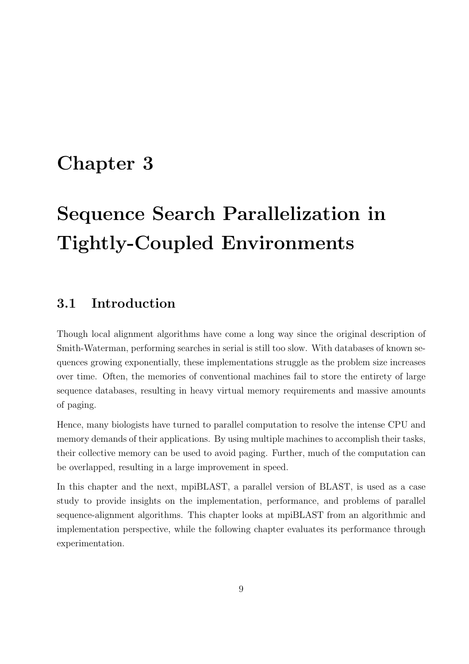# Chapter 3

# Sequence Search Parallelization in Tightly-Coupled Environments

### 3.1 Introduction

Though local alignment algorithms have come a long way since the original description of Smith-Waterman, performing searches in serial is still too slow. With databases of known sequences growing exponentially, these implementations struggle as the problem size increases over time. Often, the memories of conventional machines fail to store the entirety of large sequence databases, resulting in heavy virtual memory requirements and massive amounts of paging.

Hence, many biologists have turned to parallel computation to resolve the intense CPU and memory demands of their applications. By using multiple machines to accomplish their tasks, their collective memory can be used to avoid paging. Further, much of the computation can be overlapped, resulting in a large improvement in speed.

In this chapter and the next, mpiBLAST, a parallel version of BLAST, is used as a case study to provide insights on the implementation, performance, and problems of parallel sequence-alignment algorithms. This chapter looks at mpiBLAST from an algorithmic and implementation perspective, while the following chapter evaluates its performance through experimentation.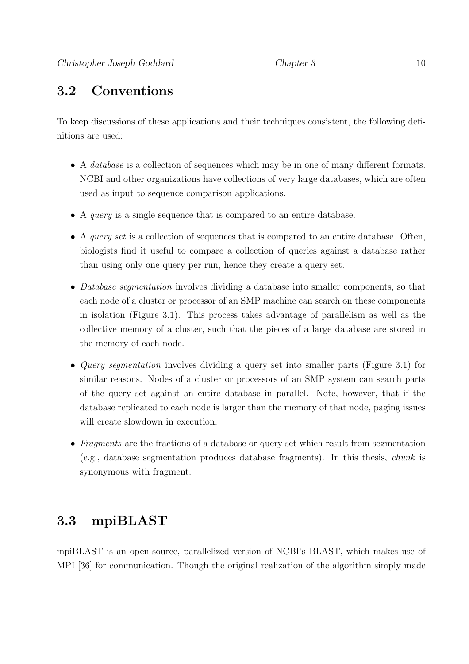### 3.2 Conventions

To keep discussions of these applications and their techniques consistent, the following definitions are used:

- A *database* is a collection of sequences which may be in one of many different formats. NCBI and other organizations have collections of very large databases, which are often used as input to sequence comparison applications.
- A query is a single sequence that is compared to an entire database.
- A *query set* is a collection of sequences that is compared to an entire database. Often, biologists find it useful to compare a collection of queries against a database rather than using only one query per run, hence they create a query set.
- Database segmentation involves dividing a database into smaller components, so that each node of a cluster or processor of an SMP machine can search on these components in isolation (Figure 3.1). This process takes advantage of parallelism as well as the collective memory of a cluster, such that the pieces of a large database are stored in the memory of each node.
- *Query segmentation* involves dividing a query set into smaller parts (Figure 3.1) for similar reasons. Nodes of a cluster or processors of an SMP system can search parts of the query set against an entire database in parallel. Note, however, that if the database replicated to each node is larger than the memory of that node, paging issues will create slowdown in execution.
- Fragments are the fractions of a database or query set which result from segmentation (e.g., database segmentation produces database fragments). In this thesis, chunk is synonymous with fragment.

### 3.3 mpiBLAST

mpiBLAST is an open-source, parallelized version of NCBI's BLAST, which makes use of MPI [36] for communication. Though the original realization of the algorithm simply made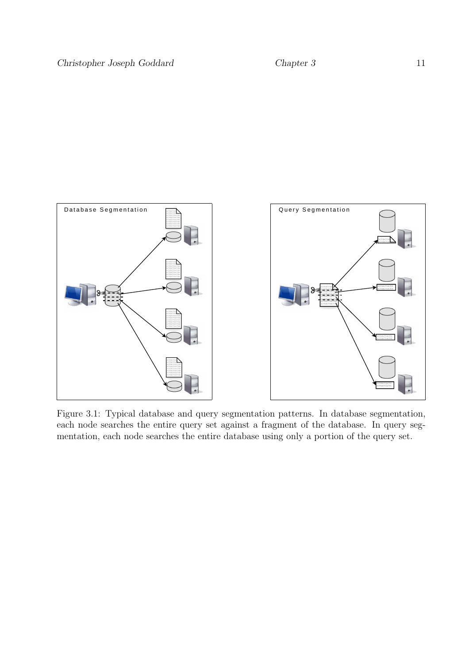

Figure 3.1: Typical database and query segmentation patterns. In database segmentation, each node searches the entire query set against a fragment of the database. In query segmentation, each node searches the entire database using only a portion of the query set.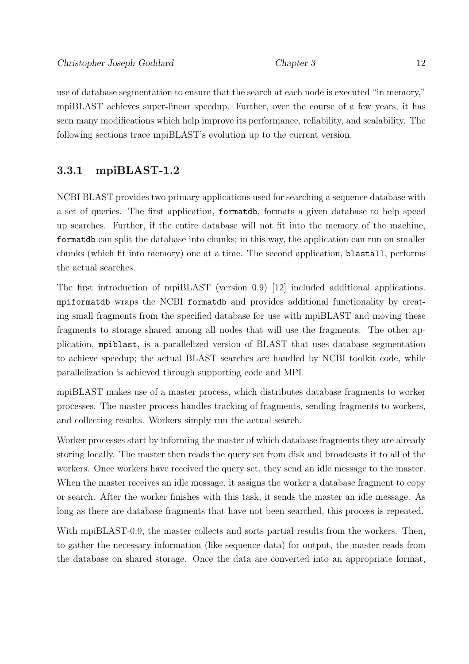use of database segmentation to ensure that the search at each node is executed "in memory," mpiBLAST achieves super-linear speedup. Further, over the course of a few years, it has seen many modifications which help improve its performance, reliability, and scalability. The following sections trace mpiBLAST's evolution up to the current version.

#### 3.3.1 mpiBLAST-1.2

NCBI BLAST provides two primary applications used for searching a sequence database with a set of queries. The first application, formatdb, formats a given database to help speed up searches. Further, if the entire database will not fit into the memory of the machine, formatdb can split the database into chunks; in this way, the application can run on smaller chunks (which fit into memory) one at a time. The second application, blastall, performs the actual searches.

The first introduction of mpiBLAST (version 0.9) [12] included additional applications. mpiformatdb wraps the NCBI formatdb and provides additional functionality by creating small fragments from the specified database for use with mpiBLAST and moving these fragments to storage shared among all nodes that will use the fragments. The other application, mpiblast, is a parallelized version of BLAST that uses database segmentation to achieve speedup; the actual BLAST searches are handled by NCBI toolkit code, while parallelization is achieved through supporting code and MPI.

mpiBLAST makes use of a master process, which distributes database fragments to worker processes. The master process handles tracking of fragments, sending fragments to workers, and collecting results. Workers simply run the actual search.

Worker processes start by informing the master of which database fragments they are already storing locally. The master then reads the query set from disk and broadcasts it to all of the workers. Once workers have received the query set, they send an idle message to the master. When the master receives an idle message, it assigns the worker a database fragment to copy or search. After the worker finishes with this task, it sends the master an idle message. As long as there are database fragments that have not been searched, this process is repeated.

With mpiBLAST-0.9, the master collects and sorts partial results from the workers. Then, to gather the necessary information (like sequence data) for output, the master reads from the database on shared storage. Once the data are converted into an appropriate format,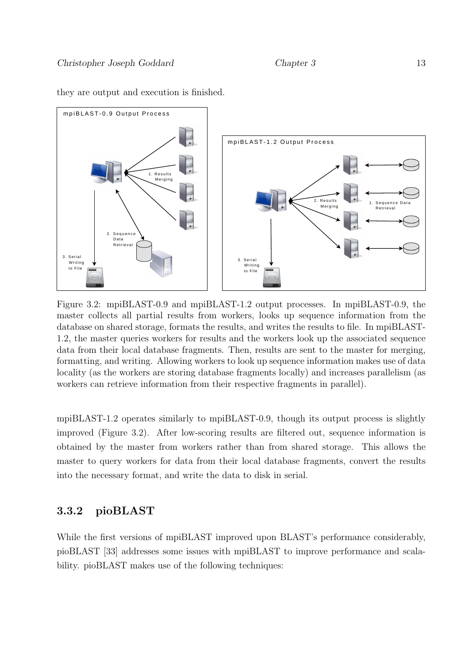

they are output and execution is finished.

Figure 3.2: mpiBLAST-0.9 and mpiBLAST-1.2 output processes. In mpiBLAST-0.9, the master collects all partial results from workers, looks up sequence information from the database on shared storage, formats the results, and writes the results to file. In mpiBLAST-1.2, the master queries workers for results and the workers look up the associated sequence data from their local database fragments. Then, results are sent to the master for merging, formatting, and writing. Allowing workers to look up sequence information makes use of data locality (as the workers are storing database fragments locally) and increases parallelism (as workers can retrieve information from their respective fragments in parallel).

mpiBLAST-1.2 operates similarly to mpiBLAST-0.9, though its output process is slightly improved (Figure 3.2). After low-scoring results are filtered out, sequence information is obtained by the master from workers rather than from shared storage. This allows the master to query workers for data from their local database fragments, convert the results into the necessary format, and write the data to disk in serial.

#### 3.3.2 pioBLAST

While the first versions of mpiBLAST improved upon BLAST's performance considerably, pioBLAST [33] addresses some issues with mpiBLAST to improve performance and scalability. pioBLAST makes use of the following techniques: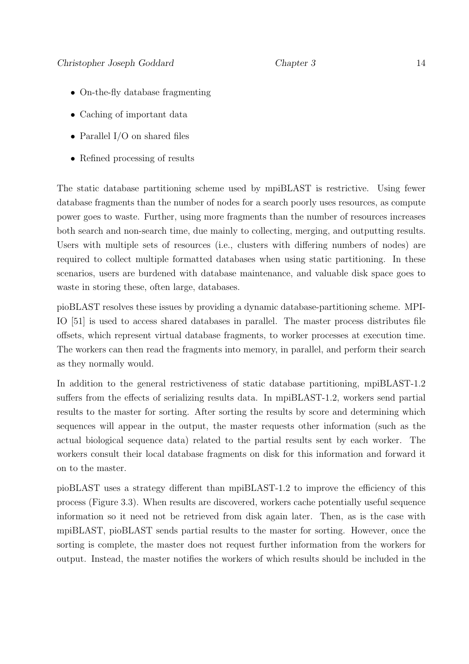- On-the-fly database fragmenting
- Caching of important data
- Parallel I/O on shared files
- Refined processing of results

The static database partitioning scheme used by mpiBLAST is restrictive. Using fewer database fragments than the number of nodes for a search poorly uses resources, as compute power goes to waste. Further, using more fragments than the number of resources increases both search and non-search time, due mainly to collecting, merging, and outputting results. Users with multiple sets of resources (i.e., clusters with differing numbers of nodes) are required to collect multiple formatted databases when using static partitioning. In these scenarios, users are burdened with database maintenance, and valuable disk space goes to waste in storing these, often large, databases.

pioBLAST resolves these issues by providing a dynamic database-partitioning scheme. MPI-IO [51] is used to access shared databases in parallel. The master process distributes file offsets, which represent virtual database fragments, to worker processes at execution time. The workers can then read the fragments into memory, in parallel, and perform their search as they normally would.

In addition to the general restrictiveness of static database partitioning, mpiBLAST-1.2 suffers from the effects of serializing results data. In mpiBLAST-1.2, workers send partial results to the master for sorting. After sorting the results by score and determining which sequences will appear in the output, the master requests other information (such as the actual biological sequence data) related to the partial results sent by each worker. The workers consult their local database fragments on disk for this information and forward it on to the master.

pioBLAST uses a strategy different than mpiBLAST-1.2 to improve the efficiency of this process (Figure 3.3). When results are discovered, workers cache potentially useful sequence information so it need not be retrieved from disk again later. Then, as is the case with mpiBLAST, pioBLAST sends partial results to the master for sorting. However, once the sorting is complete, the master does not request further information from the workers for output. Instead, the master notifies the workers of which results should be included in the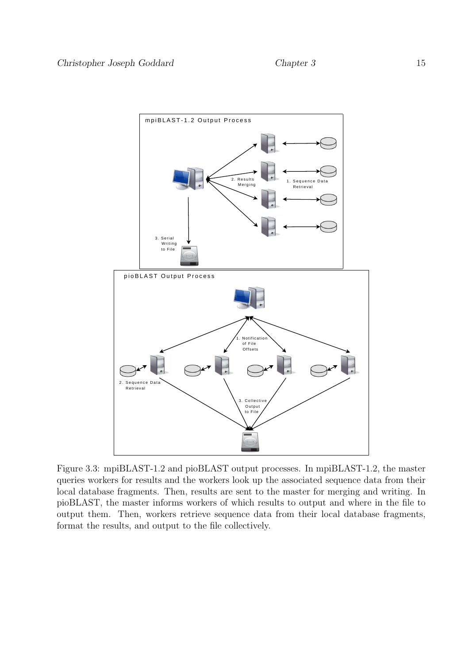

Figure 3.3: mpiBLAST-1.2 and pioBLAST output processes. In mpiBLAST-1.2, the master queries workers for results and the workers look up the associated sequence data from their local database fragments. Then, results are sent to the master for merging and writing. In pioBLAST, the master informs workers of which results to output and where in the file to output them. Then, workers retrieve sequence data from their local database fragments, format the results, and output to the file collectively.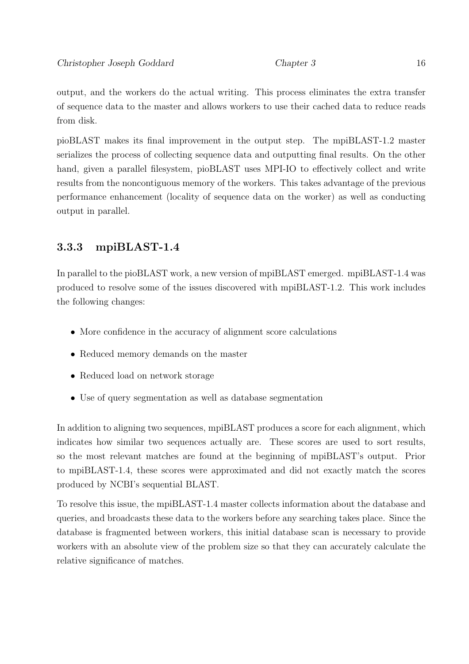output, and the workers do the actual writing. This process eliminates the extra transfer of sequence data to the master and allows workers to use their cached data to reduce reads from disk.

pioBLAST makes its final improvement in the output step. The mpiBLAST-1.2 master serializes the process of collecting sequence data and outputting final results. On the other hand, given a parallel filesystem, pioBLAST uses MPI-IO to effectively collect and write results from the noncontiguous memory of the workers. This takes advantage of the previous performance enhancement (locality of sequence data on the worker) as well as conducting output in parallel.

#### 3.3.3 mpiBLAST-1.4

In parallel to the pioBLAST work, a new version of mpiBLAST emerged. mpiBLAST-1.4 was produced to resolve some of the issues discovered with mpiBLAST-1.2. This work includes the following changes:

- More confidence in the accuracy of alignment score calculations
- Reduced memory demands on the master
- Reduced load on network storage
- Use of query segmentation as well as database segmentation

In addition to aligning two sequences, mpiBLAST produces a score for each alignment, which indicates how similar two sequences actually are. These scores are used to sort results, so the most relevant matches are found at the beginning of mpiBLAST's output. Prior to mpiBLAST-1.4, these scores were approximated and did not exactly match the scores produced by NCBI's sequential BLAST.

To resolve this issue, the mpiBLAST-1.4 master collects information about the database and queries, and broadcasts these data to the workers before any searching takes place. Since the database is fragmented between workers, this initial database scan is necessary to provide workers with an absolute view of the problem size so that they can accurately calculate the relative significance of matches.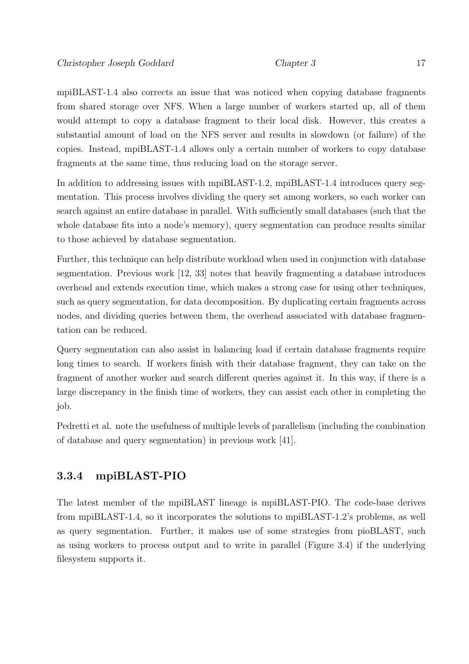mpiBLAST-1.4 also corrects an issue that was noticed when copying database fragments from shared storage over NFS. When a large number of workers started up, all of them would attempt to copy a database fragment to their local disk. However, this creates a substantial amount of load on the NFS server and results in slowdown (or failure) of the copies. Instead, mpiBLAST-1.4 allows only a certain number of workers to copy database fragments at the same time, thus reducing load on the storage server.

In addition to addressing issues with mpiBLAST-1.2, mpiBLAST-1.4 introduces query segmentation. This process involves dividing the query set among workers, so each worker can search against an entire database in parallel. With sufficiently small databases (such that the whole database fits into a node's memory), query segmentation can produce results similar to those achieved by database segmentation.

Further, this technique can help distribute workload when used in conjunction with database segmentation. Previous work [12, 33] notes that heavily fragmenting a database introduces overhead and extends execution time, which makes a strong case for using other techniques, such as query segmentation, for data decomposition. By duplicating certain fragments across nodes, and dividing queries between them, the overhead associated with database fragmentation can be reduced.

Query segmentation can also assist in balancing load if certain database fragments require long times to search. If workers finish with their database fragment, they can take on the fragment of another worker and search different queries against it. In this way, if there is a large discrepancy in the finish time of workers, they can assist each other in completing the job.

Pedretti et al. note the usefulness of multiple levels of parallelism (including the combination of database and query segmentation) in previous work [41].

#### 3.3.4 mpiBLAST-PIO

The latest member of the mpiBLAST lineage is mpiBLAST-PIO. The code-base derives from mpiBLAST-1.4, so it incorporates the solutions to mpiBLAST-1.2's problems, as well as query segmentation. Further, it makes use of some strategies from pioBLAST, such as using workers to process output and to write in parallel (Figure 3.4) if the underlying filesystem supports it.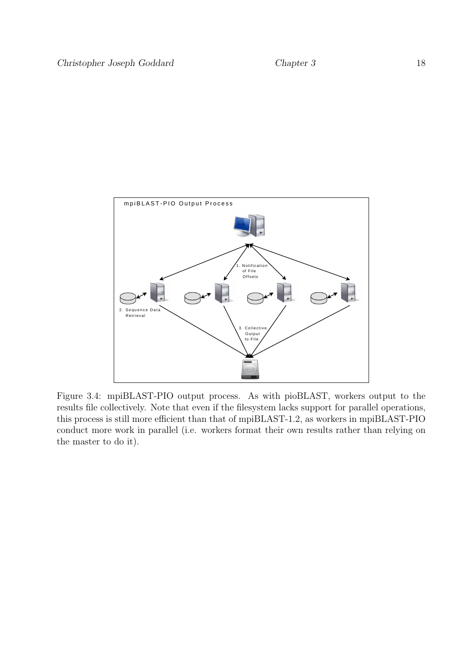

Figure 3.4: mpiBLAST-PIO output process. As with pioBLAST, workers output to the results file collectively. Note that even if the filesystem lacks support for parallel operations, this process is still more efficient than that of mpiBLAST-1.2, as workers in mpiBLAST-PIO conduct more work in parallel (i.e. workers format their own results rather than relying on the master to do it).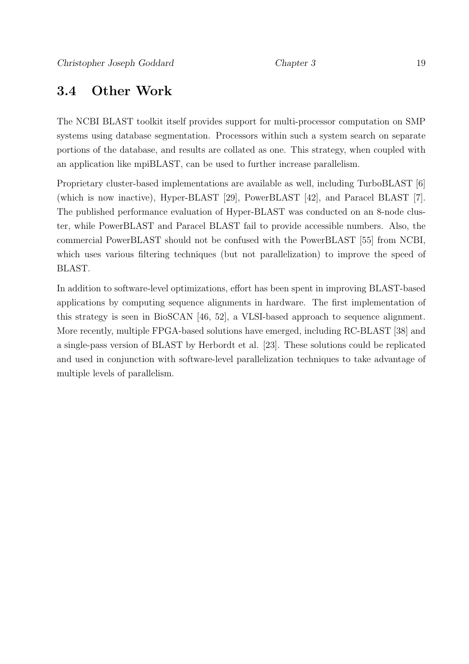#### 3.4 Other Work

The NCBI BLAST toolkit itself provides support for multi-processor computation on SMP systems using database segmentation. Processors within such a system search on separate portions of the database, and results are collated as one. This strategy, when coupled with an application like mpiBLAST, can be used to further increase parallelism.

Proprietary cluster-based implementations are available as well, including TurboBLAST [6] (which is now inactive), Hyper-BLAST [29], PowerBLAST [42], and Paracel BLAST [7]. The published performance evaluation of Hyper-BLAST was conducted on an 8-node cluster, while PowerBLAST and Paracel BLAST fail to provide accessible numbers. Also, the commercial PowerBLAST should not be confused with the PowerBLAST [55] from NCBI, which uses various filtering techniques (but not parallelization) to improve the speed of BLAST.

In addition to software-level optimizations, effort has been spent in improving BLAST-based applications by computing sequence alignments in hardware. The first implementation of this strategy is seen in BioSCAN [46, 52], a VLSI-based approach to sequence alignment. More recently, multiple FPGA-based solutions have emerged, including RC-BLAST [38] and a single-pass version of BLAST by Herbordt et al. [23]. These solutions could be replicated and used in conjunction with software-level parallelization techniques to take advantage of multiple levels of parallelism.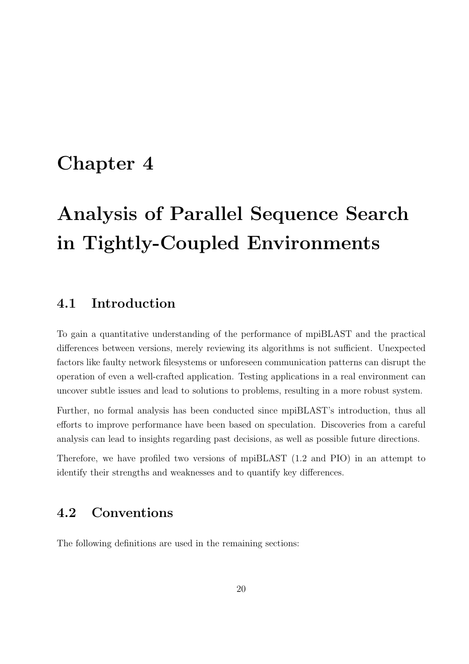## Chapter 4

# Analysis of Parallel Sequence Search in Tightly-Coupled Environments

#### 4.1 Introduction

To gain a quantitative understanding of the performance of mpiBLAST and the practical differences between versions, merely reviewing its algorithms is not sufficient. Unexpected factors like faulty network filesystems or unforeseen communication patterns can disrupt the operation of even a well-crafted application. Testing applications in a real environment can uncover subtle issues and lead to solutions to problems, resulting in a more robust system.

Further, no formal analysis has been conducted since mpiBLAST's introduction, thus all efforts to improve performance have been based on speculation. Discoveries from a careful analysis can lead to insights regarding past decisions, as well as possible future directions.

Therefore, we have profiled two versions of mpiBLAST (1.2 and PIO) in an attempt to identify their strengths and weaknesses and to quantify key differences.

#### 4.2 Conventions

The following definitions are used in the remaining sections: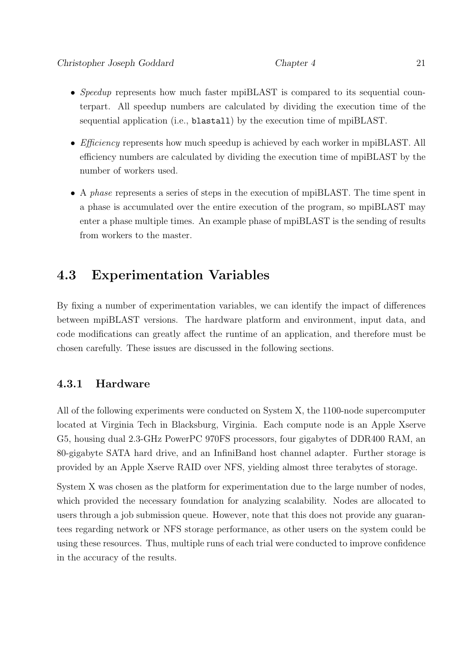- Speedup represents how much faster mpiBLAST is compared to its sequential counterpart. All speedup numbers are calculated by dividing the execution time of the sequential application (i.e., blastall) by the execution time of mpiBLAST.
- *Efficiency* represents how much speedup is achieved by each worker in mpiBLAST. All efficiency numbers are calculated by dividing the execution time of mpiBLAST by the number of workers used.
- A phase represents a series of steps in the execution of mpiBLAST. The time spent in a phase is accumulated over the entire execution of the program, so mpiBLAST may enter a phase multiple times. An example phase of mpiBLAST is the sending of results from workers to the master.

### 4.3 Experimentation Variables

By fixing a number of experimentation variables, we can identify the impact of differences between mpiBLAST versions. The hardware platform and environment, input data, and code modifications can greatly affect the runtime of an application, and therefore must be chosen carefully. These issues are discussed in the following sections.

#### 4.3.1 Hardware

All of the following experiments were conducted on System X, the 1100-node supercomputer located at Virginia Tech in Blacksburg, Virginia. Each compute node is an Apple Xserve G5, housing dual 2.3-GHz PowerPC 970FS processors, four gigabytes of DDR400 RAM, an 80-gigabyte SATA hard drive, and an InfiniBand host channel adapter. Further storage is provided by an Apple Xserve RAID over NFS, yielding almost three terabytes of storage.

System X was chosen as the platform for experimentation due to the large number of nodes, which provided the necessary foundation for analyzing scalability. Nodes are allocated to users through a job submission queue. However, note that this does not provide any guarantees regarding network or NFS storage performance, as other users on the system could be using these resources. Thus, multiple runs of each trial were conducted to improve confidence in the accuracy of the results.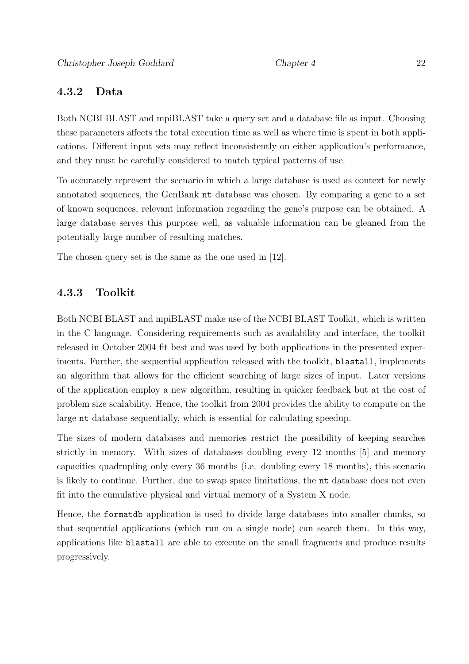#### 4.3.2 Data

Both NCBI BLAST and mpiBLAST take a query set and a database file as input. Choosing these parameters affects the total execution time as well as where time is spent in both applications. Different input sets may reflect inconsistently on either application's performance, and they must be carefully considered to match typical patterns of use.

To accurately represent the scenario in which a large database is used as context for newly annotated sequences, the GenBank nt database was chosen. By comparing a gene to a set of known sequences, relevant information regarding the gene's purpose can be obtained. A large database serves this purpose well, as valuable information can be gleaned from the potentially large number of resulting matches.

The chosen query set is the same as the one used in [12].

#### 4.3.3 Toolkit

Both NCBI BLAST and mpiBLAST make use of the NCBI BLAST Toolkit, which is written in the C language. Considering requirements such as availability and interface, the toolkit released in October 2004 fit best and was used by both applications in the presented experiments. Further, the sequential application released with the toolkit, blastall, implements an algorithm that allows for the efficient searching of large sizes of input. Later versions of the application employ a new algorithm, resulting in quicker feedback but at the cost of problem size scalability. Hence, the toolkit from 2004 provides the ability to compute on the large nt database sequentially, which is essential for calculating speedup.

The sizes of modern databases and memories restrict the possibility of keeping searches strictly in memory. With sizes of databases doubling every 12 months [5] and memory capacities quadrupling only every 36 months (i.e. doubling every 18 months), this scenario is likely to continue. Further, due to swap space limitations, the nt database does not even fit into the cumulative physical and virtual memory of a System X node.

Hence, the formatdb application is used to divide large databases into smaller chunks, so that sequential applications (which run on a single node) can search them. In this way, applications like blastall are able to execute on the small fragments and produce results progressively.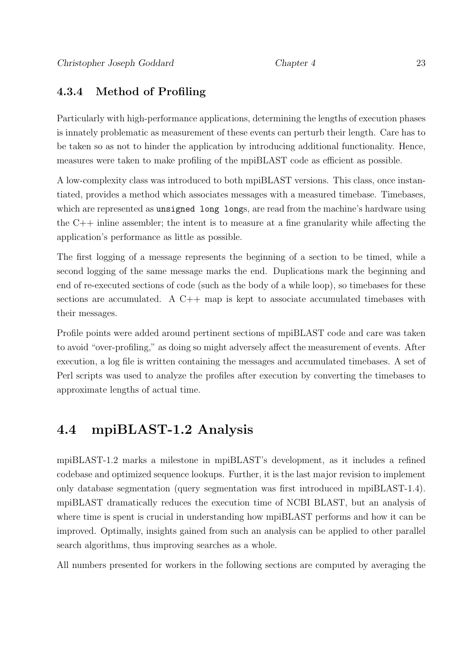#### 4.3.4 Method of Profiling

Particularly with high-performance applications, determining the lengths of execution phases is innately problematic as measurement of these events can perturb their length. Care has to be taken so as not to hinder the application by introducing additional functionality. Hence, measures were taken to make profiling of the mpiBLAST code as efficient as possible.

A low-complexity class was introduced to both mpiBLAST versions. This class, once instantiated, provides a method which associates messages with a measured timebase. Timebases, which are represented as unsigned long longs, are read from the machine's hardware using the  $C_{++}$  inline assembler; the intent is to measure at a fine granularity while affecting the application's performance as little as possible.

The first logging of a message represents the beginning of a section to be timed, while a second logging of the same message marks the end. Duplications mark the beginning and end of re-executed sections of code (such as the body of a while loop), so timebases for these sections are accumulated. A  $C++$  map is kept to associate accumulated timebases with their messages.

Profile points were added around pertinent sections of mpiBLAST code and care was taken to avoid "over-profiling," as doing so might adversely affect the measurement of events. After execution, a log file is written containing the messages and accumulated timebases. A set of Perl scripts was used to analyze the profiles after execution by converting the timebases to approximate lengths of actual time.

#### 4.4 mpiBLAST-1.2 Analysis

mpiBLAST-1.2 marks a milestone in mpiBLAST's development, as it includes a refined codebase and optimized sequence lookups. Further, it is the last major revision to implement only database segmentation (query segmentation was first introduced in mpiBLAST-1.4). mpiBLAST dramatically reduces the execution time of NCBI BLAST, but an analysis of where time is spent is crucial in understanding how mpiBLAST performs and how it can be improved. Optimally, insights gained from such an analysis can be applied to other parallel search algorithms, thus improving searches as a whole.

All numbers presented for workers in the following sections are computed by averaging the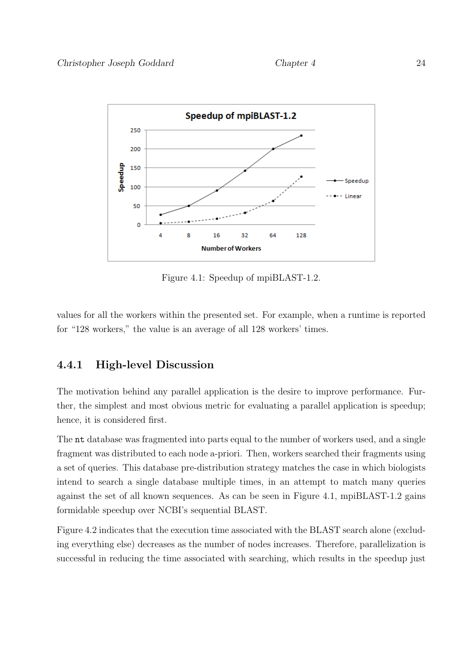

Figure 4.1: Speedup of mpiBLAST-1.2.

values for all the workers within the presented set. For example, when a runtime is reported for "128 workers," the value is an average of all 128 workers' times.

#### 4.4.1 High-level Discussion

The motivation behind any parallel application is the desire to improve performance. Further, the simplest and most obvious metric for evaluating a parallel application is speedup; hence, it is considered first.

The nt database was fragmented into parts equal to the number of workers used, and a single fragment was distributed to each node a-priori. Then, workers searched their fragments using a set of queries. This database pre-distribution strategy matches the case in which biologists intend to search a single database multiple times, in an attempt to match many queries against the set of all known sequences. As can be seen in Figure 4.1, mpiBLAST-1.2 gains formidable speedup over NCBI's sequential BLAST.

Figure 4.2 indicates that the execution time associated with the BLAST search alone (excluding everything else) decreases as the number of nodes increases. Therefore, parallelization is successful in reducing the time associated with searching, which results in the speedup just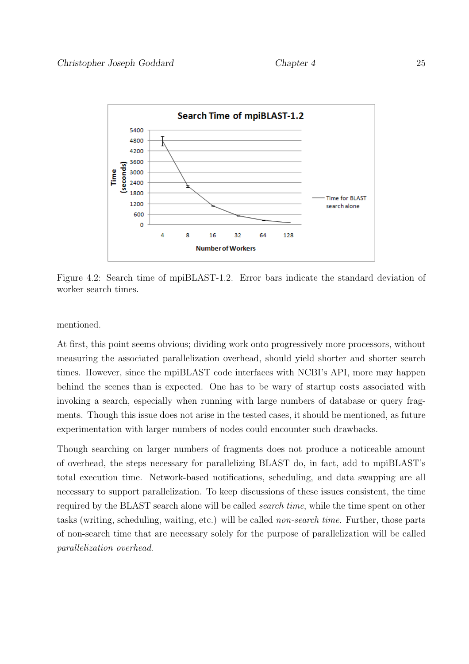

Figure 4.2: Search time of mpiBLAST-1.2. Error bars indicate the standard deviation of worker search times.

mentioned.

At first, this point seems obvious; dividing work onto progressively more processors, without measuring the associated parallelization overhead, should yield shorter and shorter search times. However, since the mpiBLAST code interfaces with NCBI's API, more may happen behind the scenes than is expected. One has to be wary of startup costs associated with invoking a search, especially when running with large numbers of database or query fragments. Though this issue does not arise in the tested cases, it should be mentioned, as future experimentation with larger numbers of nodes could encounter such drawbacks.

Though searching on larger numbers of fragments does not produce a noticeable amount of overhead, the steps necessary for parallelizing BLAST do, in fact, add to mpiBLAST's total execution time. Network-based notifications, scheduling, and data swapping are all necessary to support parallelization. To keep discussions of these issues consistent, the time required by the BLAST search alone will be called search time, while the time spent on other tasks (writing, scheduling, waiting, etc.) will be called non-search time. Further, those parts of non-search time that are necessary solely for the purpose of parallelization will be called parallelization overhead.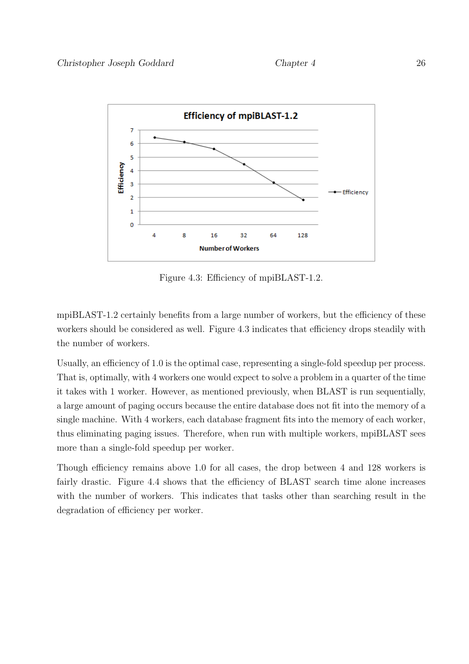

Figure 4.3: Efficiency of mpiBLAST-1.2.

mpiBLAST-1.2 certainly benefits from a large number of workers, but the efficiency of these workers should be considered as well. Figure 4.3 indicates that efficiency drops steadily with the number of workers.

Usually, an efficiency of 1.0 is the optimal case, representing a single-fold speedup per process. That is, optimally, with 4 workers one would expect to solve a problem in a quarter of the time it takes with 1 worker. However, as mentioned previously, when BLAST is run sequentially, a large amount of paging occurs because the entire database does not fit into the memory of a single machine. With 4 workers, each database fragment fits into the memory of each worker, thus eliminating paging issues. Therefore, when run with multiple workers, mpiBLAST sees more than a single-fold speedup per worker.

Though efficiency remains above 1.0 for all cases, the drop between 4 and 128 workers is fairly drastic. Figure 4.4 shows that the efficiency of BLAST search time alone increases with the number of workers. This indicates that tasks other than searching result in the degradation of efficiency per worker.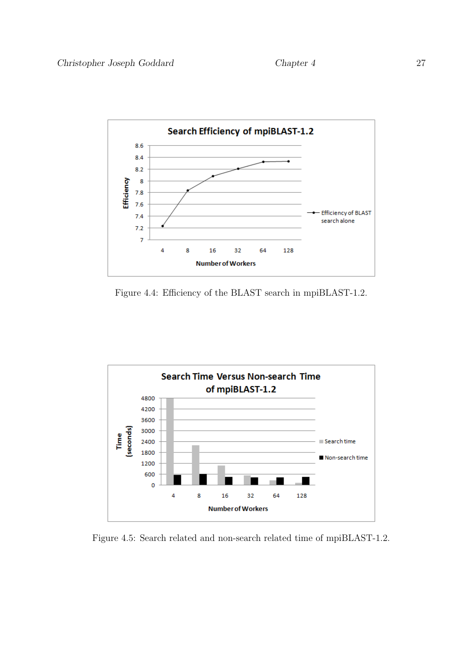

Figure 4.4: Efficiency of the BLAST search in mpiBLAST-1.2.



Figure 4.5: Search related and non-search related time of mpiBLAST-1.2.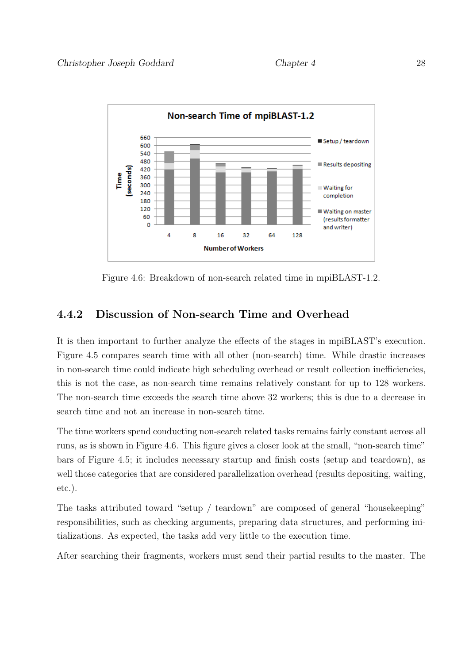

Figure 4.6: Breakdown of non-search related time in mpiBLAST-1.2.

# 4.4.2 Discussion of Non-search Time and Overhead

It is then important to further analyze the effects of the stages in mpiBLAST's execution. Figure 4.5 compares search time with all other (non-search) time. While drastic increases in non-search time could indicate high scheduling overhead or result collection inefficiencies, this is not the case, as non-search time remains relatively constant for up to 128 workers. The non-search time exceeds the search time above 32 workers; this is due to a decrease in search time and not an increase in non-search time.

The time workers spend conducting non-search related tasks remains fairly constant across all runs, as is shown in Figure 4.6. This figure gives a closer look at the small, "non-search time" bars of Figure 4.5; it includes necessary startup and finish costs (setup and teardown), as well those categories that are considered parallelization overhead (results depositing, waiting, etc.).

The tasks attributed toward "setup / teardown" are composed of general "housekeeping" responsibilities, such as checking arguments, preparing data structures, and performing initializations. As expected, the tasks add very little to the execution time.

After searching their fragments, workers must send their partial results to the master. The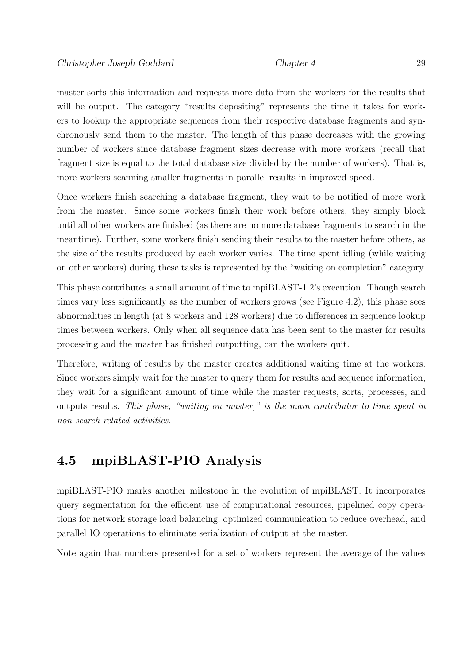master sorts this information and requests more data from the workers for the results that will be output. The category "results depositing" represents the time it takes for workers to lookup the appropriate sequences from their respective database fragments and synchronously send them to the master. The length of this phase decreases with the growing number of workers since database fragment sizes decrease with more workers (recall that fragment size is equal to the total database size divided by the number of workers). That is, more workers scanning smaller fragments in parallel results in improved speed.

Once workers finish searching a database fragment, they wait to be notified of more work from the master. Since some workers finish their work before others, they simply block until all other workers are finished (as there are no more database fragments to search in the meantime). Further, some workers finish sending their results to the master before others, as the size of the results produced by each worker varies. The time spent idling (while waiting on other workers) during these tasks is represented by the "waiting on completion" category.

This phase contributes a small amount of time to mpiBLAST-1.2's execution. Though search times vary less significantly as the number of workers grows (see Figure 4.2), this phase sees abnormalities in length (at 8 workers and 128 workers) due to differences in sequence lookup times between workers. Only when all sequence data has been sent to the master for results processing and the master has finished outputting, can the workers quit.

Therefore, writing of results by the master creates additional waiting time at the workers. Since workers simply wait for the master to query them for results and sequence information, they wait for a significant amount of time while the master requests, sorts, processes, and outputs results. This phase, "waiting on master," is the main contributor to time spent in non-search related activities.

# 4.5 mpiBLAST-PIO Analysis

mpiBLAST-PIO marks another milestone in the evolution of mpiBLAST. It incorporates query segmentation for the efficient use of computational resources, pipelined copy operations for network storage load balancing, optimized communication to reduce overhead, and parallel IO operations to eliminate serialization of output at the master.

Note again that numbers presented for a set of workers represent the average of the values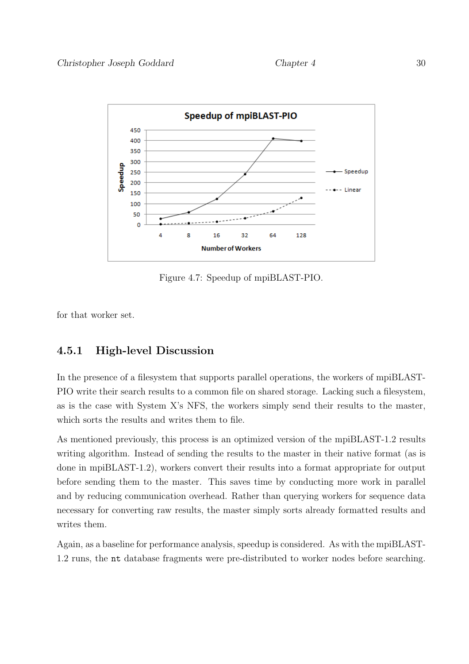

Figure 4.7: Speedup of mpiBLAST-PIO.

for that worker set.

### 4.5.1 High-level Discussion

In the presence of a filesystem that supports parallel operations, the workers of mpiBLAST-PIO write their search results to a common file on shared storage. Lacking such a filesystem, as is the case with System X's NFS, the workers simply send their results to the master, which sorts the results and writes them to file.

As mentioned previously, this process is an optimized version of the mpiBLAST-1.2 results writing algorithm. Instead of sending the results to the master in their native format (as is done in mpiBLAST-1.2), workers convert their results into a format appropriate for output before sending them to the master. This saves time by conducting more work in parallel and by reducing communication overhead. Rather than querying workers for sequence data necessary for converting raw results, the master simply sorts already formatted results and writes them.

Again, as a baseline for performance analysis, speedup is considered. As with the mpiBLAST-1.2 runs, the nt database fragments were pre-distributed to worker nodes before searching.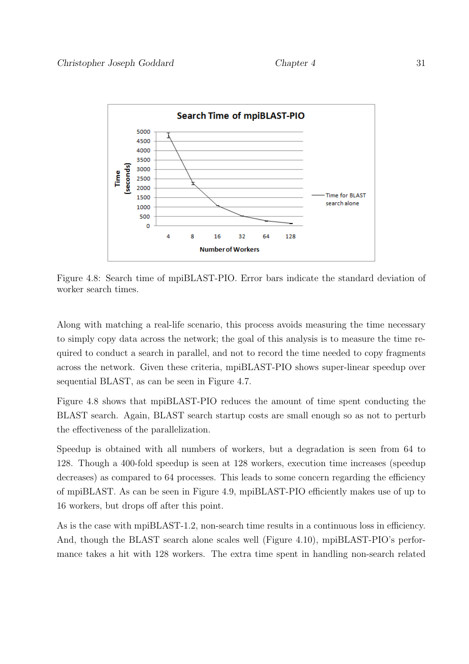

Figure 4.8: Search time of mpiBLAST-PIO. Error bars indicate the standard deviation of worker search times.

Along with matching a real-life scenario, this process avoids measuring the time necessary to simply copy data across the network; the goal of this analysis is to measure the time required to conduct a search in parallel, and not to record the time needed to copy fragments across the network. Given these criteria, mpiBLAST-PIO shows super-linear speedup over sequential BLAST, as can be seen in Figure 4.7.

Figure 4.8 shows that mpiBLAST-PIO reduces the amount of time spent conducting the BLAST search. Again, BLAST search startup costs are small enough so as not to perturb the effectiveness of the parallelization.

Speedup is obtained with all numbers of workers, but a degradation is seen from 64 to 128. Though a 400-fold speedup is seen at 128 workers, execution time increases (speedup decreases) as compared to 64 processes. This leads to some concern regarding the efficiency of mpiBLAST. As can be seen in Figure 4.9, mpiBLAST-PIO efficiently makes use of up to 16 workers, but drops off after this point.

As is the case with mpiBLAST-1.2, non-search time results in a continuous loss in efficiency. And, though the BLAST search alone scales well (Figure 4.10), mpiBLAST-PIO's performance takes a hit with 128 workers. The extra time spent in handling non-search related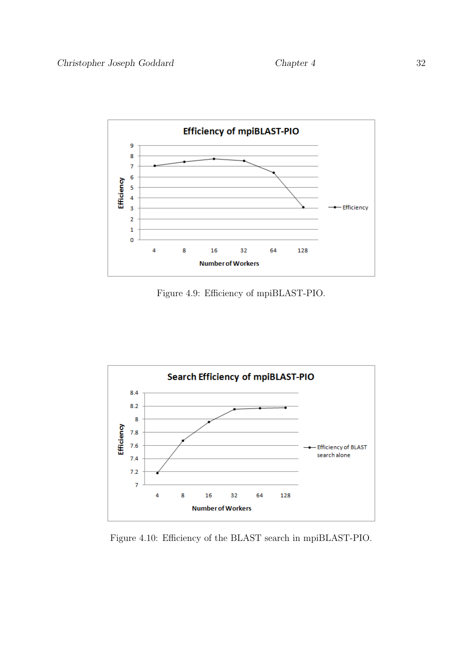

Figure 4.9: Efficiency of mpiBLAST-PIO.



Figure 4.10: Efficiency of the BLAST search in mpiBLAST-PIO.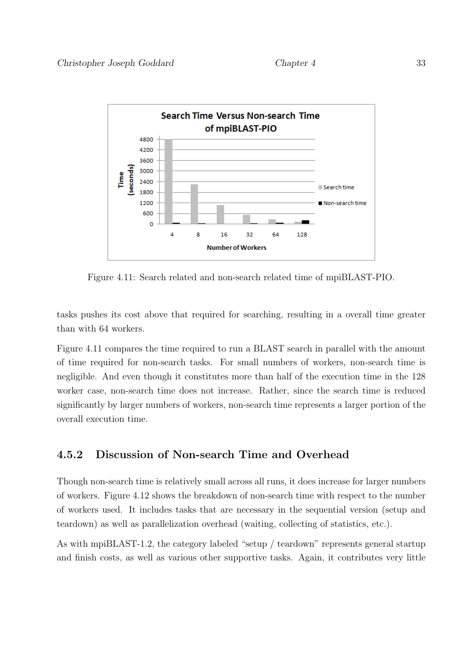

Figure 4.11: Search related and non-search related time of mpiBLAST-PIO.

tasks pushes its cost above that required for searching, resulting in a overall time greater than with 64 workers.

Figure 4.11 compares the time required to run a BLAST search in parallel with the amount of time required for non-search tasks. For small numbers of workers, non-search time is negligible. And even though it constitutes more than half of the execution time in the 128 worker case, non-search time does not increase. Rather, since the search time is reduced significantly by larger numbers of workers, non-search time represents a larger portion of the overall execution time.

# 4.5.2 Discussion of Non-search Time and Overhead

Though non-search time is relatively small across all runs, it does increase for larger numbers of workers. Figure 4.12 shows the breakdown of non-search time with respect to the number of workers used. It includes tasks that are necessary in the sequential version (setup and teardown) as well as parallelization overhead (waiting, collecting of statistics, etc.).

As with mpiBLAST-1.2, the category labeled "setup / teardown" represents general startup and finish costs, as well as various other supportive tasks. Again, it contributes very little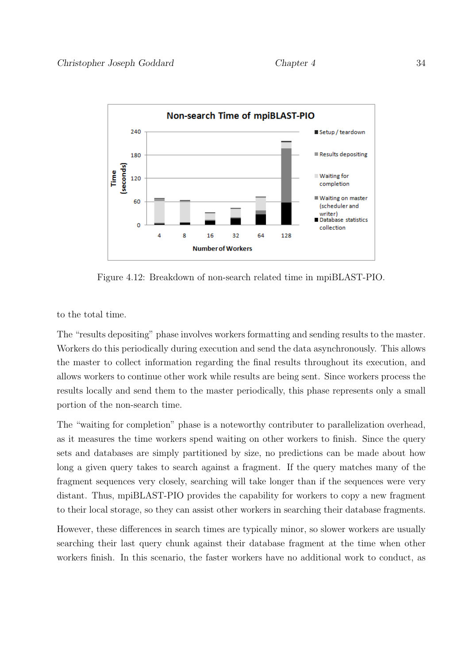

Figure 4.12: Breakdown of non-search related time in mpiBLAST-PIO.

to the total time.

The "results depositing" phase involves workers formatting and sending results to the master. Workers do this periodically during execution and send the data asynchronously. This allows the master to collect information regarding the final results throughout its execution, and allows workers to continue other work while results are being sent. Since workers process the results locally and send them to the master periodically, this phase represents only a small portion of the non-search time.

The "waiting for completion" phase is a noteworthy contributer to parallelization overhead, as it measures the time workers spend waiting on other workers to finish. Since the query sets and databases are simply partitioned by size, no predictions can be made about how long a given query takes to search against a fragment. If the query matches many of the fragment sequences very closely, searching will take longer than if the sequences were very distant. Thus, mpiBLAST-PIO provides the capability for workers to copy a new fragment to their local storage, so they can assist other workers in searching their database fragments.

However, these differences in search times are typically minor, so slower workers are usually searching their last query chunk against their database fragment at the time when other workers finish. In this scenario, the faster workers have no additional work to conduct, as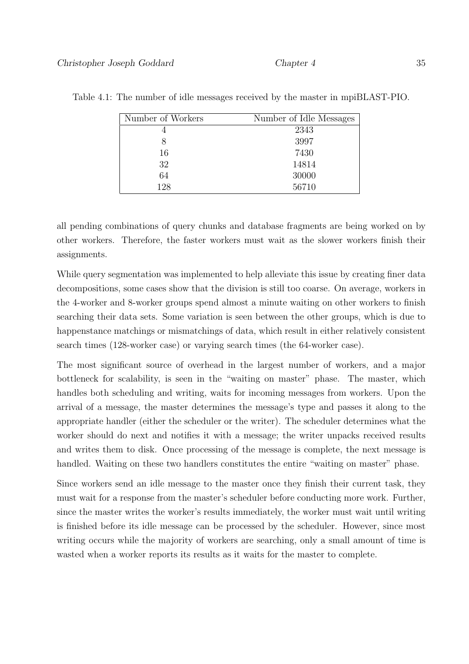| Number of Workers | Number of Idle Messages |  |  |
|-------------------|-------------------------|--|--|
|                   | 2343                    |  |  |
| 8                 | 3997                    |  |  |
| 16                | 7430                    |  |  |
| 32                | 14814                   |  |  |
| 64                | 30000                   |  |  |
| 128               | 56710                   |  |  |

Table 4.1: The number of idle messages received by the master in mpiBLAST-PIO.

all pending combinations of query chunks and database fragments are being worked on by other workers. Therefore, the faster workers must wait as the slower workers finish their assignments.

While query segmentation was implemented to help alleviate this issue by creating finer data decompositions, some cases show that the division is still too coarse. On average, workers in the 4-worker and 8-worker groups spend almost a minute waiting on other workers to finish searching their data sets. Some variation is seen between the other groups, which is due to happenstance matchings or mismatchings of data, which result in either relatively consistent search times (128-worker case) or varying search times (the 64-worker case).

The most significant source of overhead in the largest number of workers, and a major bottleneck for scalability, is seen in the "waiting on master" phase. The master, which handles both scheduling and writing, waits for incoming messages from workers. Upon the arrival of a message, the master determines the message's type and passes it along to the appropriate handler (either the scheduler or the writer). The scheduler determines what the worker should do next and notifies it with a message; the writer unpacks received results and writes them to disk. Once processing of the message is complete, the next message is handled. Waiting on these two handlers constitutes the entire "waiting on master" phase.

Since workers send an idle message to the master once they finish their current task, they must wait for a response from the master's scheduler before conducting more work. Further, since the master writes the worker's results immediately, the worker must wait until writing is finished before its idle message can be processed by the scheduler. However, since most writing occurs while the majority of workers are searching, only a small amount of time is wasted when a worker reports its results as it waits for the master to complete.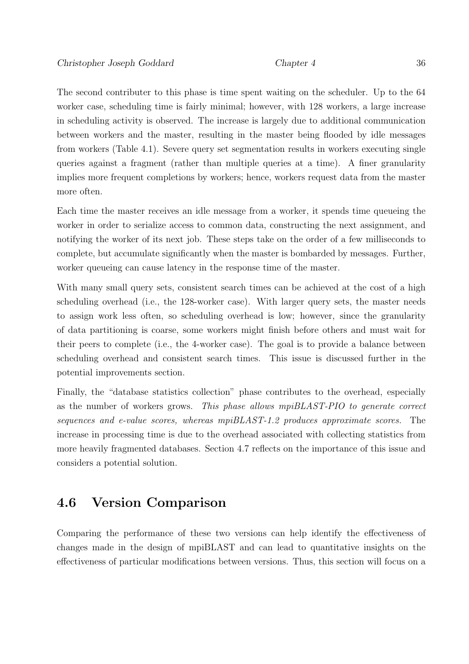The second contributer to this phase is time spent waiting on the scheduler. Up to the 64 worker case, scheduling time is fairly minimal; however, with 128 workers, a large increase in scheduling activity is observed. The increase is largely due to additional communication between workers and the master, resulting in the master being flooded by idle messages from workers (Table 4.1). Severe query set segmentation results in workers executing single queries against a fragment (rather than multiple queries at a time). A finer granularity implies more frequent completions by workers; hence, workers request data from the master more often.

Each time the master receives an idle message from a worker, it spends time queueing the worker in order to serialize access to common data, constructing the next assignment, and notifying the worker of its next job. These steps take on the order of a few milliseconds to complete, but accumulate significantly when the master is bombarded by messages. Further, worker queueing can cause latency in the response time of the master.

With many small query sets, consistent search times can be achieved at the cost of a high scheduling overhead (i.e., the 128-worker case). With larger query sets, the master needs to assign work less often, so scheduling overhead is low; however, since the granularity of data partitioning is coarse, some workers might finish before others and must wait for their peers to complete (i.e., the 4-worker case). The goal is to provide a balance between scheduling overhead and consistent search times. This issue is discussed further in the potential improvements section.

Finally, the "database statistics collection" phase contributes to the overhead, especially as the number of workers grows. This phase allows mpiBLAST-PIO to generate correct sequences and e-value scores, whereas mpiBLAST-1.2 produces approximate scores. The increase in processing time is due to the overhead associated with collecting statistics from more heavily fragmented databases. Section 4.7 reflects on the importance of this issue and considers a potential solution.

# 4.6 Version Comparison

Comparing the performance of these two versions can help identify the effectiveness of changes made in the design of mpiBLAST and can lead to quantitative insights on the effectiveness of particular modifications between versions. Thus, this section will focus on a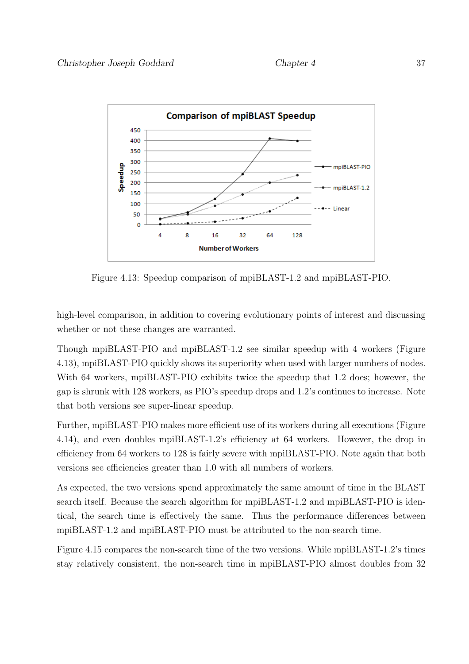

Figure 4.13: Speedup comparison of mpiBLAST-1.2 and mpiBLAST-PIO.

high-level comparison, in addition to covering evolutionary points of interest and discussing whether or not these changes are warranted.

Though mpiBLAST-PIO and mpiBLAST-1.2 see similar speedup with 4 workers (Figure 4.13), mpiBLAST-PIO quickly shows its superiority when used with larger numbers of nodes. With 64 workers, mpiBLAST-PIO exhibits twice the speedup that 1.2 does; however, the gap is shrunk with 128 workers, as PIO's speedup drops and 1.2's continues to increase. Note that both versions see super-linear speedup.

Further, mpiBLAST-PIO makes more efficient use of its workers during all executions (Figure 4.14), and even doubles mpiBLAST-1.2's efficiency at 64 workers. However, the drop in efficiency from 64 workers to 128 is fairly severe with mpiBLAST-PIO. Note again that both versions see efficiencies greater than 1.0 with all numbers of workers.

As expected, the two versions spend approximately the same amount of time in the BLAST search itself. Because the search algorithm for mpiBLAST-1.2 and mpiBLAST-PIO is identical, the search time is effectively the same. Thus the performance differences between mpiBLAST-1.2 and mpiBLAST-PIO must be attributed to the non-search time.

Figure 4.15 compares the non-search time of the two versions. While mpiBLAST-1.2's times stay relatively consistent, the non-search time in mpiBLAST-PIO almost doubles from 32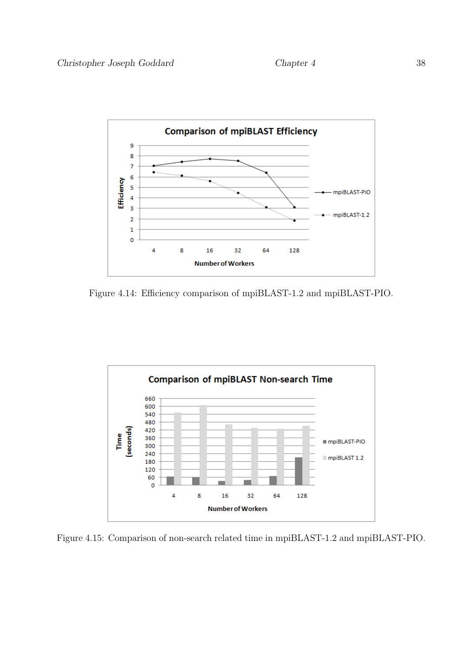

Figure 4.14: Efficiency comparison of mpiBLAST-1.2 and mpiBLAST-PIO.



Figure 4.15: Comparison of non-search related time in mpiBLAST-1.2 and mpiBLAST-PIO.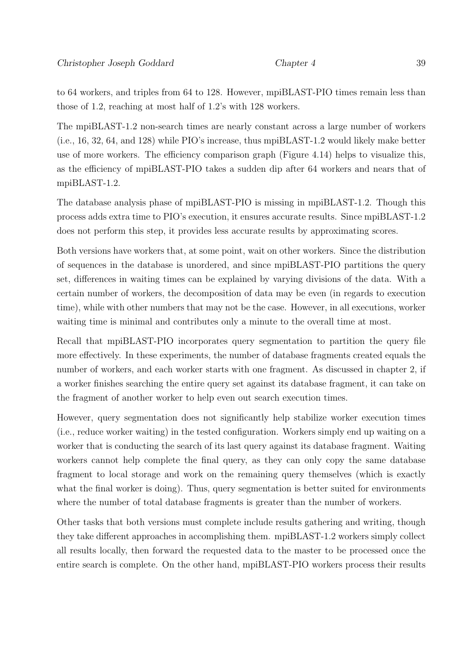to 64 workers, and triples from 64 to 128. However, mpiBLAST-PIO times remain less than those of 1.2, reaching at most half of 1.2's with 128 workers.

The mpiBLAST-1.2 non-search times are nearly constant across a large number of workers (i.e., 16, 32, 64, and 128) while PIO's increase, thus mpiBLAST-1.2 would likely make better use of more workers. The efficiency comparison graph (Figure 4.14) helps to visualize this, as the efficiency of mpiBLAST-PIO takes a sudden dip after 64 workers and nears that of mpiBLAST-1.2.

The database analysis phase of mpiBLAST-PIO is missing in mpiBLAST-1.2. Though this process adds extra time to PIO's execution, it ensures accurate results. Since mpiBLAST-1.2 does not perform this step, it provides less accurate results by approximating scores.

Both versions have workers that, at some point, wait on other workers. Since the distribution of sequences in the database is unordered, and since mpiBLAST-PIO partitions the query set, differences in waiting times can be explained by varying divisions of the data. With a certain number of workers, the decomposition of data may be even (in regards to execution time), while with other numbers that may not be the case. However, in all executions, worker waiting time is minimal and contributes only a minute to the overall time at most.

Recall that mpiBLAST-PIO incorporates query segmentation to partition the query file more effectively. In these experiments, the number of database fragments created equals the number of workers, and each worker starts with one fragment. As discussed in chapter 2, if a worker finishes searching the entire query set against its database fragment, it can take on the fragment of another worker to help even out search execution times.

However, query segmentation does not significantly help stabilize worker execution times (i.e., reduce worker waiting) in the tested configuration. Workers simply end up waiting on a worker that is conducting the search of its last query against its database fragment. Waiting workers cannot help complete the final query, as they can only copy the same database fragment to local storage and work on the remaining query themselves (which is exactly what the final worker is doing). Thus, query segmentation is better suited for environments where the number of total database fragments is greater than the number of workers.

Other tasks that both versions must complete include results gathering and writing, though they take different approaches in accomplishing them. mpiBLAST-1.2 workers simply collect all results locally, then forward the requested data to the master to be processed once the entire search is complete. On the other hand, mpiBLAST-PIO workers process their results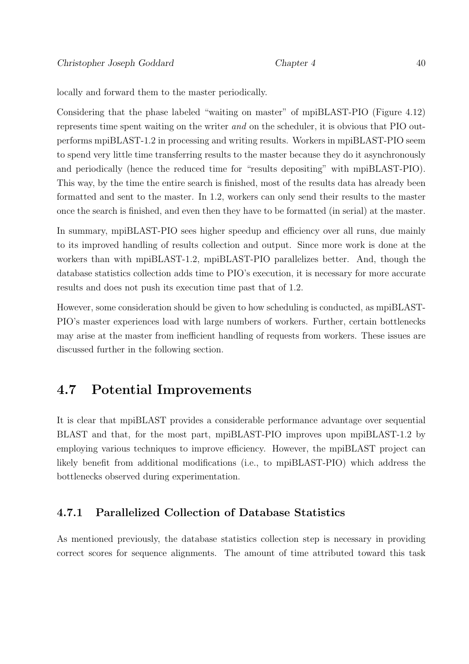locally and forward them to the master periodically.

Considering that the phase labeled "waiting on master" of mpiBLAST-PIO (Figure 4.12) represents time spent waiting on the writer and on the scheduler, it is obvious that PIO outperforms mpiBLAST-1.2 in processing and writing results. Workers in mpiBLAST-PIO seem to spend very little time transferring results to the master because they do it asynchronously and periodically (hence the reduced time for "results depositing" with mpiBLAST-PIO). This way, by the time the entire search is finished, most of the results data has already been formatted and sent to the master. In 1.2, workers can only send their results to the master once the search is finished, and even then they have to be formatted (in serial) at the master.

In summary, mpiBLAST-PIO sees higher speedup and efficiency over all runs, due mainly to its improved handling of results collection and output. Since more work is done at the workers than with mpiBLAST-1.2, mpiBLAST-PIO parallelizes better. And, though the database statistics collection adds time to PIO's execution, it is necessary for more accurate results and does not push its execution time past that of 1.2.

However, some consideration should be given to how scheduling is conducted, as mpiBLAST-PIO's master experiences load with large numbers of workers. Further, certain bottlenecks may arise at the master from inefficient handling of requests from workers. These issues are discussed further in the following section.

# 4.7 Potential Improvements

It is clear that mpiBLAST provides a considerable performance advantage over sequential BLAST and that, for the most part, mpiBLAST-PIO improves upon mpiBLAST-1.2 by employing various techniques to improve efficiency. However, the mpiBLAST project can likely benefit from additional modifications (i.e., to mpiBLAST-PIO) which address the bottlenecks observed during experimentation.

### 4.7.1 Parallelized Collection of Database Statistics

As mentioned previously, the database statistics collection step is necessary in providing correct scores for sequence alignments. The amount of time attributed toward this task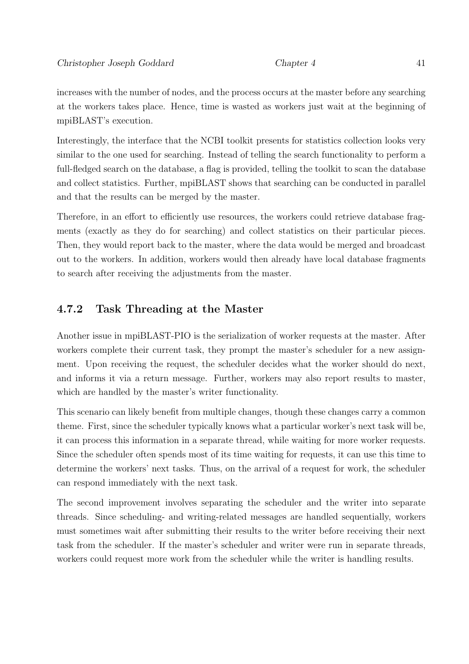increases with the number of nodes, and the process occurs at the master before any searching at the workers takes place. Hence, time is wasted as workers just wait at the beginning of mpiBLAST's execution.

Interestingly, the interface that the NCBI toolkit presents for statistics collection looks very similar to the one used for searching. Instead of telling the search functionality to perform a full-fledged search on the database, a flag is provided, telling the toolkit to scan the database and collect statistics. Further, mpiBLAST shows that searching can be conducted in parallel and that the results can be merged by the master.

Therefore, in an effort to efficiently use resources, the workers could retrieve database fragments (exactly as they do for searching) and collect statistics on their particular pieces. Then, they would report back to the master, where the data would be merged and broadcast out to the workers. In addition, workers would then already have local database fragments to search after receiving the adjustments from the master.

# 4.7.2 Task Threading at the Master

Another issue in mpiBLAST-PIO is the serialization of worker requests at the master. After workers complete their current task, they prompt the master's scheduler for a new assignment. Upon receiving the request, the scheduler decides what the worker should do next, and informs it via a return message. Further, workers may also report results to master, which are handled by the master's writer functionality.

This scenario can likely benefit from multiple changes, though these changes carry a common theme. First, since the scheduler typically knows what a particular worker's next task will be, it can process this information in a separate thread, while waiting for more worker requests. Since the scheduler often spends most of its time waiting for requests, it can use this time to determine the workers' next tasks. Thus, on the arrival of a request for work, the scheduler can respond immediately with the next task.

The second improvement involves separating the scheduler and the writer into separate threads. Since scheduling- and writing-related messages are handled sequentially, workers must sometimes wait after submitting their results to the writer before receiving their next task from the scheduler. If the master's scheduler and writer were run in separate threads, workers could request more work from the scheduler while the writer is handling results.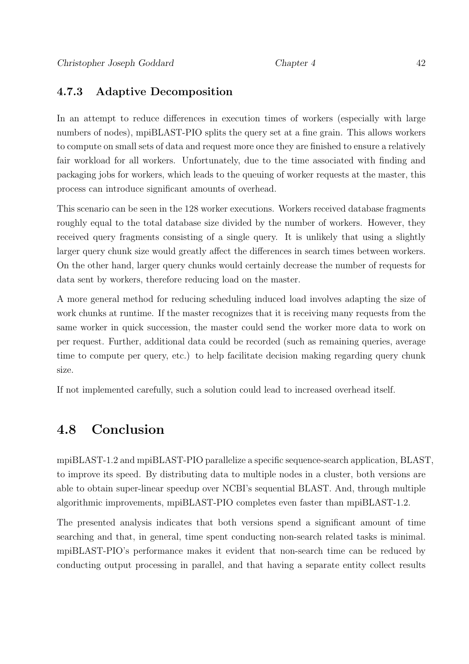# 4.7.3 Adaptive Decomposition

In an attempt to reduce differences in execution times of workers (especially with large numbers of nodes), mpiBLAST-PIO splits the query set at a fine grain. This allows workers to compute on small sets of data and request more once they are finished to ensure a relatively fair workload for all workers. Unfortunately, due to the time associated with finding and packaging jobs for workers, which leads to the queuing of worker requests at the master, this process can introduce significant amounts of overhead.

This scenario can be seen in the 128 worker executions. Workers received database fragments roughly equal to the total database size divided by the number of workers. However, they received query fragments consisting of a single query. It is unlikely that using a slightly larger query chunk size would greatly affect the differences in search times between workers. On the other hand, larger query chunks would certainly decrease the number of requests for data sent by workers, therefore reducing load on the master.

A more general method for reducing scheduling induced load involves adapting the size of work chunks at runtime. If the master recognizes that it is receiving many requests from the same worker in quick succession, the master could send the worker more data to work on per request. Further, additional data could be recorded (such as remaining queries, average time to compute per query, etc.) to help facilitate decision making regarding query chunk size.

If not implemented carefully, such a solution could lead to increased overhead itself.

# 4.8 Conclusion

mpiBLAST-1.2 and mpiBLAST-PIO parallelize a specific sequence-search application, BLAST, to improve its speed. By distributing data to multiple nodes in a cluster, both versions are able to obtain super-linear speedup over NCBI's sequential BLAST. And, through multiple algorithmic improvements, mpiBLAST-PIO completes even faster than mpiBLAST-1.2.

The presented analysis indicates that both versions spend a significant amount of time searching and that, in general, time spent conducting non-search related tasks is minimal. mpiBLAST-PIO's performance makes it evident that non-search time can be reduced by conducting output processing in parallel, and that having a separate entity collect results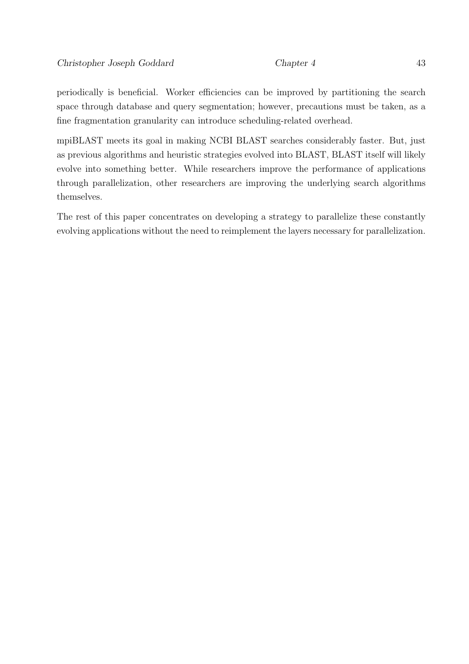periodically is beneficial. Worker efficiencies can be improved by partitioning the search space through database and query segmentation; however, precautions must be taken, as a fine fragmentation granularity can introduce scheduling-related overhead.

mpiBLAST meets its goal in making NCBI BLAST searches considerably faster. But, just as previous algorithms and heuristic strategies evolved into BLAST, BLAST itself will likely evolve into something better. While researchers improve the performance of applications through parallelization, other researchers are improving the underlying search algorithms themselves.

The rest of this paper concentrates on developing a strategy to parallelize these constantly evolving applications without the need to reimplement the layers necessary for parallelization.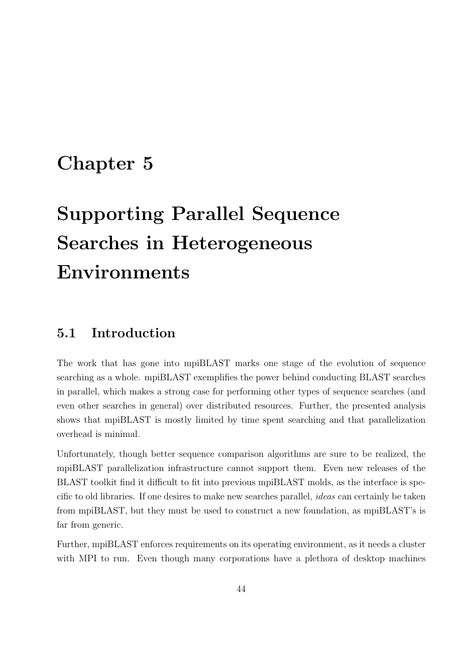# Chapter 5

# Supporting Parallel Sequence Searches in Heterogeneous Environments

# 5.1 Introduction

The work that has gone into mpiBLAST marks one stage of the evolution of sequence searching as a whole. mpiBLAST exemplifies the power behind conducting BLAST searches in parallel, which makes a strong case for performing other types of sequence searches (and even other searches in general) over distributed resources. Further, the presented analysis shows that mpiBLAST is mostly limited by time spent searching and that parallelization overhead is minimal.

Unfortunately, though better sequence comparison algorithms are sure to be realized, the mpiBLAST parallelization infrastructure cannot support them. Even new releases of the BLAST toolkit find it difficult to fit into previous mpiBLAST molds, as the interface is specific to old libraries. If one desires to make new searches parallel, ideas can certainly be taken from mpiBLAST, but they must be used to construct a new foundation, as mpiBLAST's is far from generic.

Further, mpiBLAST enforces requirements on its operating environment, as it needs a cluster with MPI to run. Even though many corporations have a plethora of desktop machines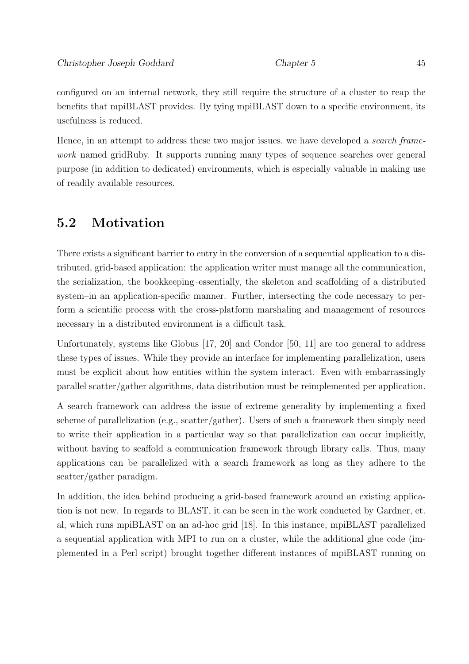configured on an internal network, they still require the structure of a cluster to reap the benefits that mpiBLAST provides. By tying mpiBLAST down to a specific environment, its usefulness is reduced.

Hence, in an attempt to address these two major issues, we have developed a *search frame*work named gridRuby. It supports running many types of sequence searches over general purpose (in addition to dedicated) environments, which is especially valuable in making use of readily available resources.

# 5.2 Motivation

There exists a significant barrier to entry in the conversion of a sequential application to a distributed, grid-based application: the application writer must manage all the communication, the serialization, the bookkeeping–essentially, the skeleton and scaffolding of a distributed system–in an application-specific manner. Further, intersecting the code necessary to perform a scientific process with the cross-platform marshaling and management of resources necessary in a distributed environment is a difficult task.

Unfortunately, systems like Globus [17, 20] and Condor [50, 11] are too general to address these types of issues. While they provide an interface for implementing parallelization, users must be explicit about how entities within the system interact. Even with embarrassingly parallel scatter/gather algorithms, data distribution must be reimplemented per application.

A search framework can address the issue of extreme generality by implementing a fixed scheme of parallelization (e.g., scatter/gather). Users of such a framework then simply need to write their application in a particular way so that parallelization can occur implicitly, without having to scaffold a communication framework through library calls. Thus, many applications can be parallelized with a search framework as long as they adhere to the scatter/gather paradigm.

In addition, the idea behind producing a grid-based framework around an existing application is not new. In regards to BLAST, it can be seen in the work conducted by Gardner, et. al, which runs mpiBLAST on an ad-hoc grid [18]. In this instance, mpiBLAST parallelized a sequential application with MPI to run on a cluster, while the additional glue code (implemented in a Perl script) brought together different instances of mpiBLAST running on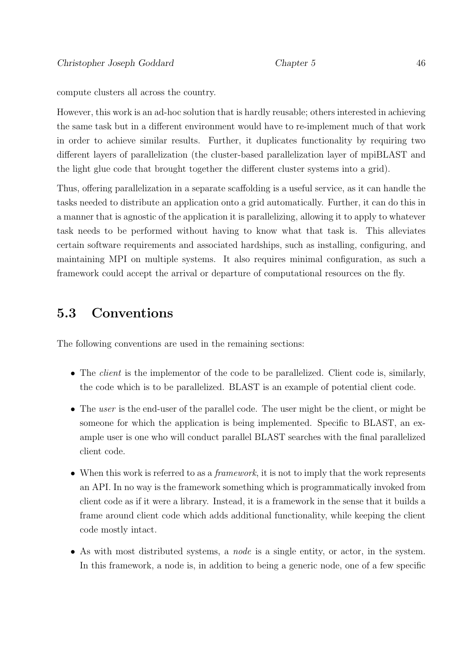compute clusters all across the country.

However, this work is an ad-hoc solution that is hardly reusable; others interested in achieving the same task but in a different environment would have to re-implement much of that work in order to achieve similar results. Further, it duplicates functionality by requiring two different layers of parallelization (the cluster-based parallelization layer of mpiBLAST and the light glue code that brought together the different cluster systems into a grid).

Thus, offering parallelization in a separate scaffolding is a useful service, as it can handle the tasks needed to distribute an application onto a grid automatically. Further, it can do this in a manner that is agnostic of the application it is parallelizing, allowing it to apply to whatever task needs to be performed without having to know what that task is. This alleviates certain software requirements and associated hardships, such as installing, configuring, and maintaining MPI on multiple systems. It also requires minimal configuration, as such a framework could accept the arrival or departure of computational resources on the fly.

# 5.3 Conventions

The following conventions are used in the remaining sections:

- The *client* is the implementor of the code to be parallelized. Client code is, similarly, the code which is to be parallelized. BLAST is an example of potential client code.
- The user is the end-user of the parallel code. The user might be the client, or might be someone for which the application is being implemented. Specific to BLAST, an example user is one who will conduct parallel BLAST searches with the final parallelized client code.
- When this work is referred to as a *framework*, it is not to imply that the work represents an API. In no way is the framework something which is programmatically invoked from client code as if it were a library. Instead, it is a framework in the sense that it builds a frame around client code which adds additional functionality, while keeping the client code mostly intact.
- As with most distributed systems, a *node* is a single entity, or actor, in the system. In this framework, a node is, in addition to being a generic node, one of a few specific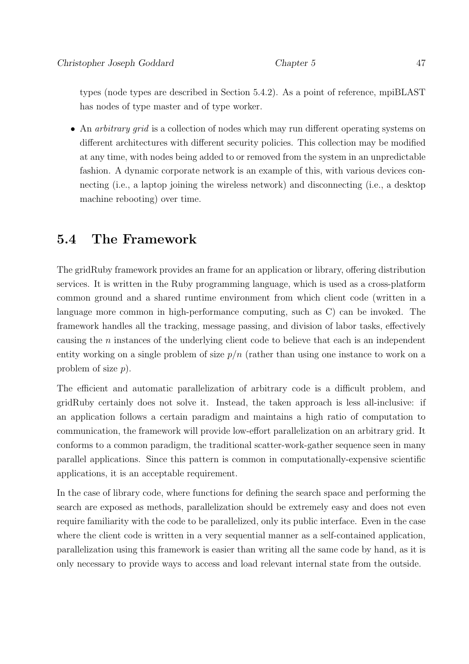types (node types are described in Section 5.4.2). As a point of reference, mpiBLAST has nodes of type master and of type worker.

• An *arbitrary grid* is a collection of nodes which may run different operating systems on different architectures with different security policies. This collection may be modified at any time, with nodes being added to or removed from the system in an unpredictable fashion. A dynamic corporate network is an example of this, with various devices connecting (i.e., a laptop joining the wireless network) and disconnecting (i.e., a desktop machine rebooting) over time.

# 5.4 The Framework

The gridRuby framework provides an frame for an application or library, offering distribution services. It is written in the Ruby programming language, which is used as a cross-platform common ground and a shared runtime environment from which client code (written in a language more common in high-performance computing, such as C) can be invoked. The framework handles all the tracking, message passing, and division of labor tasks, effectively causing the n instances of the underlying client code to believe that each is an independent entity working on a single problem of size  $p/n$  (rather than using one instance to work on a problem of size p).

The efficient and automatic parallelization of arbitrary code is a difficult problem, and gridRuby certainly does not solve it. Instead, the taken approach is less all-inclusive: if an application follows a certain paradigm and maintains a high ratio of computation to communication, the framework will provide low-effort parallelization on an arbitrary grid. It conforms to a common paradigm, the traditional scatter-work-gather sequence seen in many parallel applications. Since this pattern is common in computationally-expensive scientific applications, it is an acceptable requirement.

In the case of library code, where functions for defining the search space and performing the search are exposed as methods, parallelization should be extremely easy and does not even require familiarity with the code to be parallelized, only its public interface. Even in the case where the client code is written in a very sequential manner as a self-contained application, parallelization using this framework is easier than writing all the same code by hand, as it is only necessary to provide ways to access and load relevant internal state from the outside.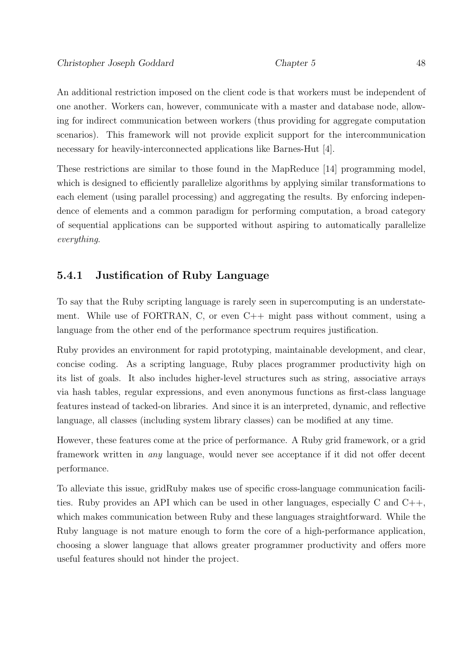An additional restriction imposed on the client code is that workers must be independent of one another. Workers can, however, communicate with a master and database node, allowing for indirect communication between workers (thus providing for aggregate computation scenarios). This framework will not provide explicit support for the intercommunication necessary for heavily-interconnected applications like Barnes-Hut [4].

These restrictions are similar to those found in the MapReduce [14] programming model, which is designed to efficiently parallelize algorithms by applying similar transformations to each element (using parallel processing) and aggregating the results. By enforcing independence of elements and a common paradigm for performing computation, a broad category of sequential applications can be supported without aspiring to automatically parallelize everything.

# 5.4.1 Justification of Ruby Language

To say that the Ruby scripting language is rarely seen in supercomputing is an understatement. While use of FORTRAN, C, or even C++ might pass without comment, using a language from the other end of the performance spectrum requires justification.

Ruby provides an environment for rapid prototyping, maintainable development, and clear, concise coding. As a scripting language, Ruby places programmer productivity high on its list of goals. It also includes higher-level structures such as string, associative arrays via hash tables, regular expressions, and even anonymous functions as first-class language features instead of tacked-on libraries. And since it is an interpreted, dynamic, and reflective language, all classes (including system library classes) can be modified at any time.

However, these features come at the price of performance. A Ruby grid framework, or a grid framework written in any language, would never see acceptance if it did not offer decent performance.

To alleviate this issue, gridRuby makes use of specific cross-language communication facilities. Ruby provides an API which can be used in other languages, especially C and C++, which makes communication between Ruby and these languages straightforward. While the Ruby language is not mature enough to form the core of a high-performance application, choosing a slower language that allows greater programmer productivity and offers more useful features should not hinder the project.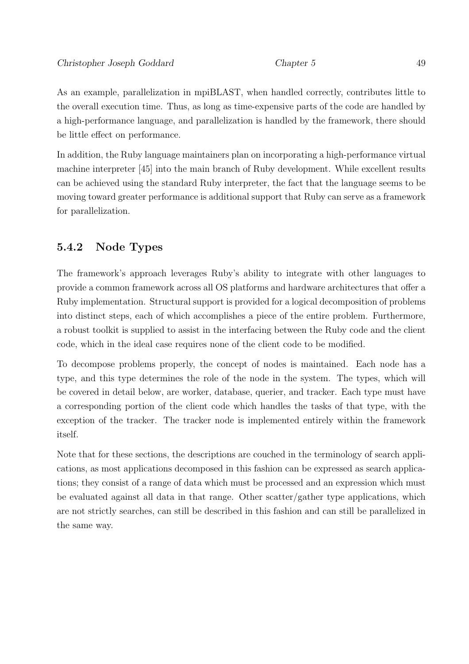As an example, parallelization in mpiBLAST, when handled correctly, contributes little to the overall execution time. Thus, as long as time-expensive parts of the code are handled by a high-performance language, and parallelization is handled by the framework, there should be little effect on performance.

In addition, the Ruby language maintainers plan on incorporating a high-performance virtual machine interpreter [45] into the main branch of Ruby development. While excellent results can be achieved using the standard Ruby interpreter, the fact that the language seems to be moving toward greater performance is additional support that Ruby can serve as a framework for parallelization.

# 5.4.2 Node Types

The framework's approach leverages Ruby's ability to integrate with other languages to provide a common framework across all OS platforms and hardware architectures that offer a Ruby implementation. Structural support is provided for a logical decomposition of problems into distinct steps, each of which accomplishes a piece of the entire problem. Furthermore, a robust toolkit is supplied to assist in the interfacing between the Ruby code and the client code, which in the ideal case requires none of the client code to be modified.

To decompose problems properly, the concept of nodes is maintained. Each node has a type, and this type determines the role of the node in the system. The types, which will be covered in detail below, are worker, database, querier, and tracker. Each type must have a corresponding portion of the client code which handles the tasks of that type, with the exception of the tracker. The tracker node is implemented entirely within the framework itself.

Note that for these sections, the descriptions are couched in the terminology of search applications, as most applications decomposed in this fashion can be expressed as search applications; they consist of a range of data which must be processed and an expression which must be evaluated against all data in that range. Other scatter/gather type applications, which are not strictly searches, can still be described in this fashion and can still be parallelized in the same way.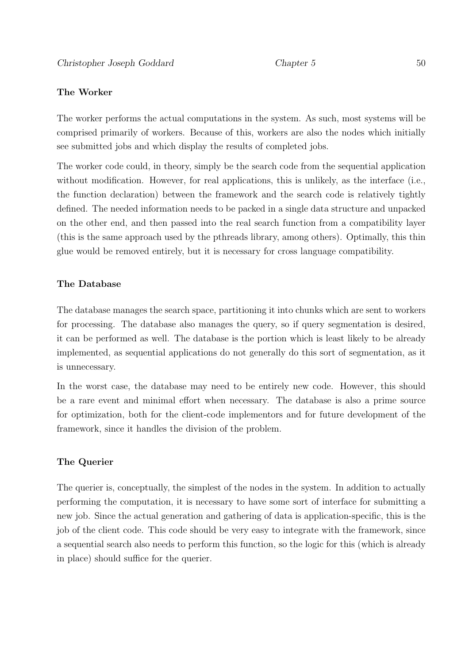### The Worker

The worker performs the actual computations in the system. As such, most systems will be comprised primarily of workers. Because of this, workers are also the nodes which initially see submitted jobs and which display the results of completed jobs.

The worker code could, in theory, simply be the search code from the sequential application without modification. However, for real applications, this is unlikely, as the interface (i.e., the function declaration) between the framework and the search code is relatively tightly defined. The needed information needs to be packed in a single data structure and unpacked on the other end, and then passed into the real search function from a compatibility layer (this is the same approach used by the pthreads library, among others). Optimally, this thin glue would be removed entirely, but it is necessary for cross language compatibility.

### The Database

The database manages the search space, partitioning it into chunks which are sent to workers for processing. The database also manages the query, so if query segmentation is desired, it can be performed as well. The database is the portion which is least likely to be already implemented, as sequential applications do not generally do this sort of segmentation, as it is unnecessary.

In the worst case, the database may need to be entirely new code. However, this should be a rare event and minimal effort when necessary. The database is also a prime source for optimization, both for the client-code implementors and for future development of the framework, since it handles the division of the problem.

### The Querier

The querier is, conceptually, the simplest of the nodes in the system. In addition to actually performing the computation, it is necessary to have some sort of interface for submitting a new job. Since the actual generation and gathering of data is application-specific, this is the job of the client code. This code should be very easy to integrate with the framework, since a sequential search also needs to perform this function, so the logic for this (which is already in place) should suffice for the querier.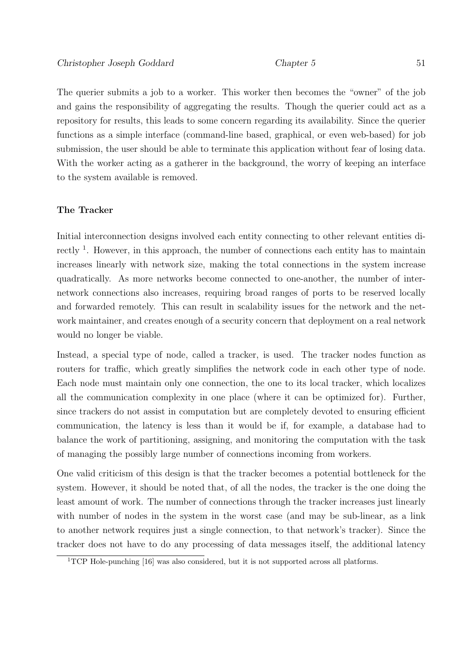The querier submits a job to a worker. This worker then becomes the "owner" of the job and gains the responsibility of aggregating the results. Though the querier could act as a repository for results, this leads to some concern regarding its availability. Since the querier functions as a simple interface (command-line based, graphical, or even web-based) for job submission, the user should be able to terminate this application without fear of losing data. With the worker acting as a gatherer in the background, the worry of keeping an interface to the system available is removed.

### The Tracker

Initial interconnection designs involved each entity connecting to other relevant entities directly <sup>1</sup>. However, in this approach, the number of connections each entity has to maintain increases linearly with network size, making the total connections in the system increase quadratically. As more networks become connected to one-another, the number of internetwork connections also increases, requiring broad ranges of ports to be reserved locally and forwarded remotely. This can result in scalability issues for the network and the network maintainer, and creates enough of a security concern that deployment on a real network would no longer be viable.

Instead, a special type of node, called a tracker, is used. The tracker nodes function as routers for traffic, which greatly simplifies the network code in each other type of node. Each node must maintain only one connection, the one to its local tracker, which localizes all the communication complexity in one place (where it can be optimized for). Further, since trackers do not assist in computation but are completely devoted to ensuring efficient communication, the latency is less than it would be if, for example, a database had to balance the work of partitioning, assigning, and monitoring the computation with the task of managing the possibly large number of connections incoming from workers.

One valid criticism of this design is that the tracker becomes a potential bottleneck for the system. However, it should be noted that, of all the nodes, the tracker is the one doing the least amount of work. The number of connections through the tracker increases just linearly with number of nodes in the system in the worst case (and may be sub-linear, as a link to another network requires just a single connection, to that network's tracker). Since the tracker does not have to do any processing of data messages itself, the additional latency

<sup>&</sup>lt;sup>1</sup>TCP Hole-punching [16] was also considered, but it is not supported across all platforms.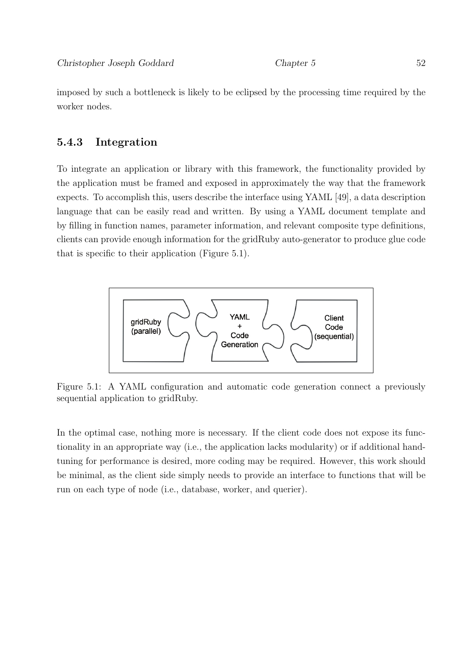imposed by such a bottleneck is likely to be eclipsed by the processing time required by the worker nodes.

# 5.4.3 Integration

To integrate an application or library with this framework, the functionality provided by the application must be framed and exposed in approximately the way that the framework expects. To accomplish this, users describe the interface using YAML [49], a data description language that can be easily read and written. By using a YAML document template and by filling in function names, parameter information, and relevant composite type definitions, clients can provide enough information for the gridRuby auto-generator to produce glue code that is specific to their application (Figure 5.1).



Figure 5.1: A YAML configuration and automatic code generation connect a previously sequential application to gridRuby.

In the optimal case, nothing more is necessary. If the client code does not expose its functionality in an appropriate way (i.e., the application lacks modularity) or if additional handtuning for performance is desired, more coding may be required. However, this work should be minimal, as the client side simply needs to provide an interface to functions that will be run on each type of node (i.e., database, worker, and querier).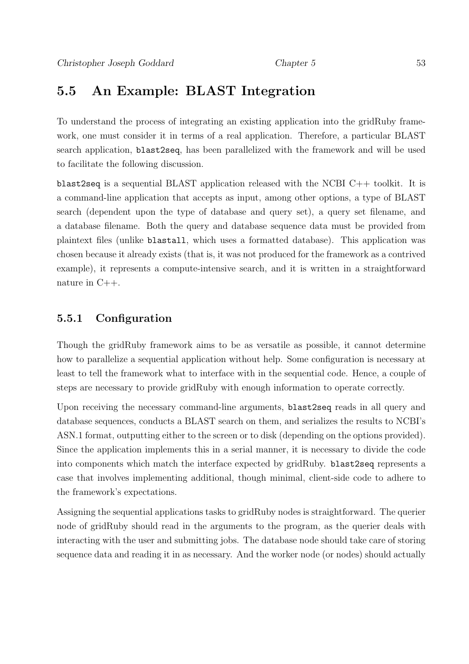# 5.5 An Example: BLAST Integration

To understand the process of integrating an existing application into the gridRuby framework, one must consider it in terms of a real application. Therefore, a particular BLAST search application, blast2seq, has been parallelized with the framework and will be used to facilitate the following discussion.

blast2seq is a sequential BLAST application released with the NCBI C++ toolkit. It is a command-line application that accepts as input, among other options, a type of BLAST search (dependent upon the type of database and query set), a query set filename, and a database filename. Both the query and database sequence data must be provided from plaintext files (unlike blastall, which uses a formatted database). This application was chosen because it already exists (that is, it was not produced for the framework as a contrived example), it represents a compute-intensive search, and it is written in a straightforward nature in C++.

### 5.5.1 Configuration

Though the gridRuby framework aims to be as versatile as possible, it cannot determine how to parallelize a sequential application without help. Some configuration is necessary at least to tell the framework what to interface with in the sequential code. Hence, a couple of steps are necessary to provide gridRuby with enough information to operate correctly.

Upon receiving the necessary command-line arguments, blast2seq reads in all query and database sequences, conducts a BLAST search on them, and serializes the results to NCBI's ASN.1 format, outputting either to the screen or to disk (depending on the options provided). Since the application implements this in a serial manner, it is necessary to divide the code into components which match the interface expected by gridRuby. blast2seq represents a case that involves implementing additional, though minimal, client-side code to adhere to the framework's expectations.

Assigning the sequential applications tasks to gridRuby nodes is straightforward. The querier node of gridRuby should read in the arguments to the program, as the querier deals with interacting with the user and submitting jobs. The database node should take care of storing sequence data and reading it in as necessary. And the worker node (or nodes) should actually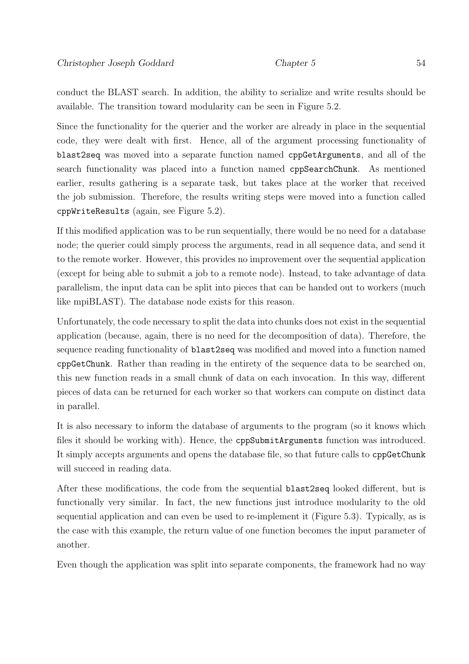conduct the BLAST search. In addition, the ability to serialize and write results should be available. The transition toward modularity can be seen in Figure 5.2.

Since the functionality for the querier and the worker are already in place in the sequential code, they were dealt with first. Hence, all of the argument processing functionality of blast2seq was moved into a separate function named cppGetArguments, and all of the search functionality was placed into a function named cppSearchChunk. As mentioned earlier, results gathering is a separate task, but takes place at the worker that received the job submission. Therefore, the results writing steps were moved into a function called cppWriteResults (again, see Figure 5.2).

If this modified application was to be run sequentially, there would be no need for a database node; the querier could simply process the arguments, read in all sequence data, and send it to the remote worker. However, this provides no improvement over the sequential application (except for being able to submit a job to a remote node). Instead, to take advantage of data parallelism, the input data can be split into pieces that can be handed out to workers (much like mpiBLAST). The database node exists for this reason.

Unfortunately, the code necessary to split the data into chunks does not exist in the sequential application (because, again, there is no need for the decomposition of data). Therefore, the sequence reading functionality of blast2seq was modified and moved into a function named cppGetChunk. Rather than reading in the entirety of the sequence data to be searched on, this new function reads in a small chunk of data on each invocation. In this way, different pieces of data can be returned for each worker so that workers can compute on distinct data in parallel.

It is also necessary to inform the database of arguments to the program (so it knows which files it should be working with). Hence, the cppSubmitArguments function was introduced. It simply accepts arguments and opens the database file, so that future calls to cppGetChunk will succeed in reading data.

After these modifications, the code from the sequential blast2seq looked different, but is functionally very similar. In fact, the new functions just introduce modularity to the old sequential application and can even be used to re-implement it (Figure 5.3). Typically, as is the case with this example, the return value of one function becomes the input parameter of another.

Even though the application was split into separate components, the framework had no way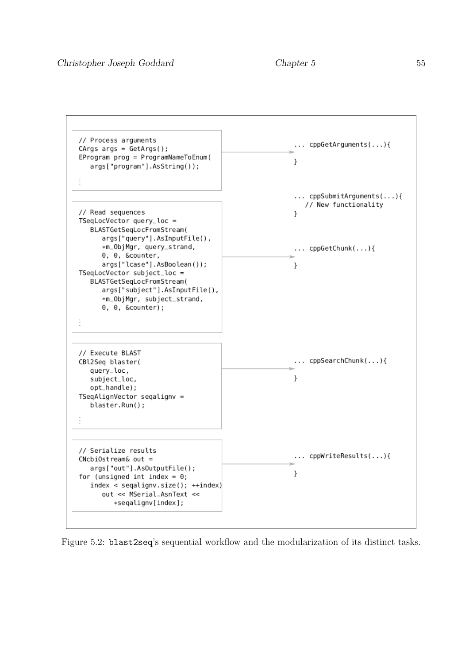

Figure 5.2: blast2seq's sequential workflow and the modularization of its distinct tasks.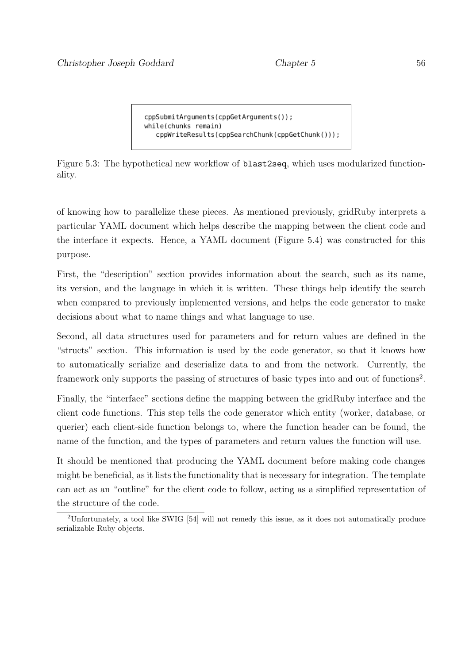```
cppSubmitArguments(cppGetArguments());
while(chunks remain)
   cppWriteResults(cppSearchChunk(cppGetChunk()));
```
Figure 5.3: The hypothetical new workflow of blast2seq, which uses modularized functionality.

of knowing how to parallelize these pieces. As mentioned previously, gridRuby interprets a particular YAML document which helps describe the mapping between the client code and the interface it expects. Hence, a YAML document (Figure 5.4) was constructed for this purpose.

First, the "description" section provides information about the search, such as its name, its version, and the language in which it is written. These things help identify the search when compared to previously implemented versions, and helps the code generator to make decisions about what to name things and what language to use.

Second, all data structures used for parameters and for return values are defined in the "structs" section. This information is used by the code generator, so that it knows how to automatically serialize and deserialize data to and from the network. Currently, the framework only supports the passing of structures of basic types into and out of functions<sup>2</sup>.

Finally, the "interface" sections define the mapping between the gridRuby interface and the client code functions. This step tells the code generator which entity (worker, database, or querier) each client-side function belongs to, where the function header can be found, the name of the function, and the types of parameters and return values the function will use.

It should be mentioned that producing the YAML document before making code changes might be beneficial, as it lists the functionality that is necessary for integration. The template can act as an "outline" for the client code to follow, acting as a simplified representation of the structure of the code.

<sup>2</sup>Unfortunately, a tool like SWIG [54] will not remedy this issue, as it does not automatically produce serializable Ruby objects.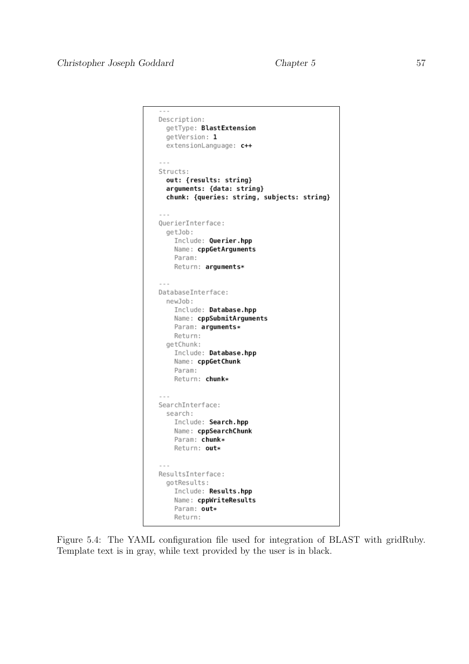```
\simDescription:
  getType: BlastExtension
  getVersion: 1
  extensionLanguage: c++
\sim \sim \simStructs:
  out: {results: string}
  arguments: {data: string}
  chunk: {queries: string, subjects: string}
QuerierInterface:
  getJob:
    Include: Querier.hpp
    Name: cppGetArguments
    Param:
    Return: arguments*
DatabaseInterface:
 newJob:
    Include: Database.hpp
    Name: cppSubmitArguments
    Param: arguments*
    Return:
  getChunk:
    Include: Database.hpp
    Name: cppGetChunk
    Param:
    Return: chunk*
SearchInterface:
  search:
    Include: Search.hpp
    Name: cppSearchChunk
    Param: chunk*
    Return: out*
\sim \sim \simResultsInterface:
  gotResults:
    Include: Results.hpp
    Name: cppWriteResults
    Param: out*
    Return:
```
Figure 5.4: The YAML configuration file used for integration of BLAST with gridRuby. Template text is in gray, while text provided by the user is in black.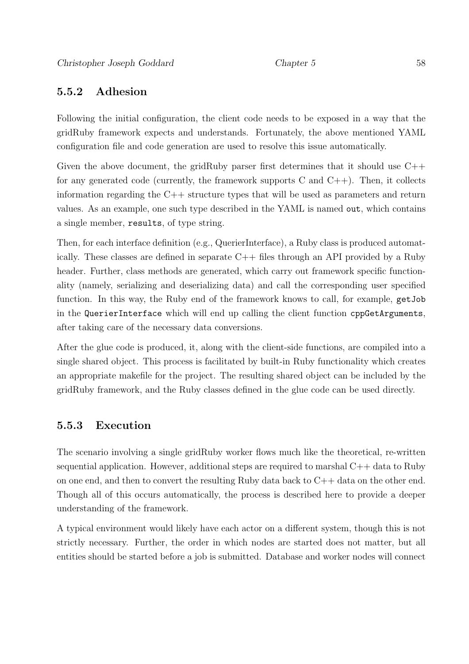### 5.5.2 Adhesion

Following the initial configuration, the client code needs to be exposed in a way that the gridRuby framework expects and understands. Fortunately, the above mentioned YAML configuration file and code generation are used to resolve this issue automatically.

Given the above document, the gridRuby parser first determines that it should use  $C++$ for any generated code (currently, the framework supports C and  $C_{++}$ ). Then, it collects information regarding the C++ structure types that will be used as parameters and return values. As an example, one such type described in the YAML is named out, which contains a single member, results, of type string.

Then, for each interface definition (e.g., QuerierInterface), a Ruby class is produced automatically. These classes are defined in separate C++ files through an API provided by a Ruby header. Further, class methods are generated, which carry out framework specific functionality (namely, serializing and deserializing data) and call the corresponding user specified function. In this way, the Ruby end of the framework knows to call, for example, getJob in the QuerierInterface which will end up calling the client function cppGetArguments, after taking care of the necessary data conversions.

After the glue code is produced, it, along with the client-side functions, are compiled into a single shared object. This process is facilitated by built-in Ruby functionality which creates an appropriate makefile for the project. The resulting shared object can be included by the gridRuby framework, and the Ruby classes defined in the glue code can be used directly.

### 5.5.3 Execution

The scenario involving a single gridRuby worker flows much like the theoretical, re-written sequential application. However, additional steps are required to marshal C++ data to Ruby on one end, and then to convert the resulting Ruby data back to C++ data on the other end. Though all of this occurs automatically, the process is described here to provide a deeper understanding of the framework.

A typical environment would likely have each actor on a different system, though this is not strictly necessary. Further, the order in which nodes are started does not matter, but all entities should be started before a job is submitted. Database and worker nodes will connect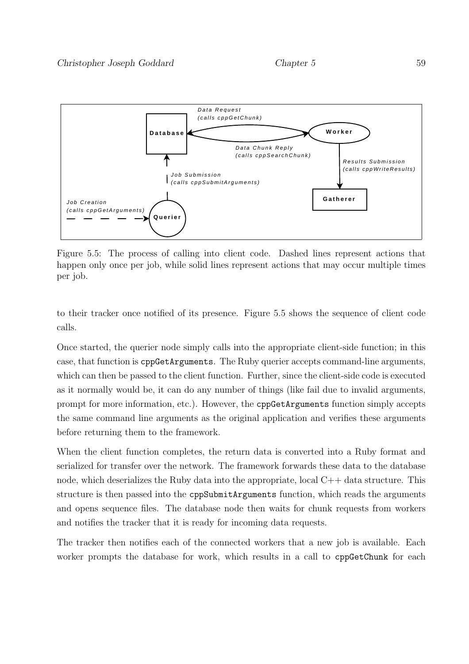

Figure 5.5: The process of calling into client code. Dashed lines represent actions that happen only once per job, while solid lines represent actions that may occur multiple times per job.

to their tracker once notified of its presence. Figure 5.5 shows the sequence of client code calls.

Once started, the querier node simply calls into the appropriate client-side function; in this case, that function is cppGetArguments. The Ruby querier accepts command-line arguments, which can then be passed to the client function. Further, since the client-side code is executed as it normally would be, it can do any number of things (like fail due to invalid arguments, prompt for more information, etc.). However, the cppGetArguments function simply accepts the same command line arguments as the original application and verifies these arguments before returning them to the framework.

When the client function completes, the return data is converted into a Ruby format and serialized for transfer over the network. The framework forwards these data to the database node, which deserializes the Ruby data into the appropriate, local  $C++$  data structure. This structure is then passed into the cppSubmitArguments function, which reads the arguments and opens sequence files. The database node then waits for chunk requests from workers and notifies the tracker that it is ready for incoming data requests.

The tracker then notifies each of the connected workers that a new job is available. Each worker prompts the database for work, which results in a call to cppGetChunk for each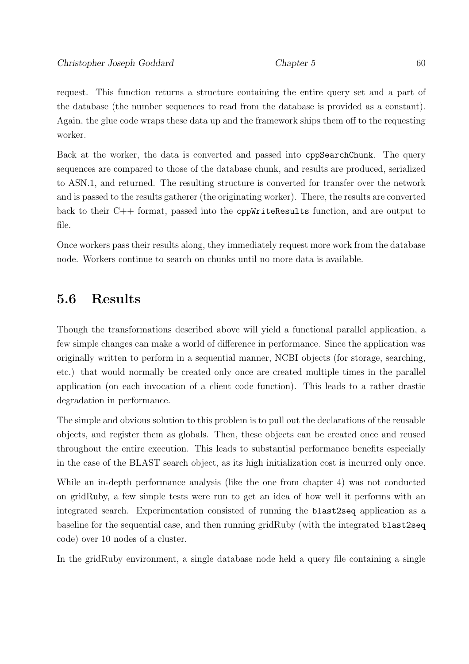request. This function returns a structure containing the entire query set and a part of the database (the number sequences to read from the database is provided as a constant). Again, the glue code wraps these data up and the framework ships them off to the requesting worker.

Back at the worker, the data is converted and passed into cppSearchChunk. The query sequences are compared to those of the database chunk, and results are produced, serialized to ASN.1, and returned. The resulting structure is converted for transfer over the network and is passed to the results gatherer (the originating worker). There, the results are converted back to their C++ format, passed into the cppWriteResults function, and are output to file.

Once workers pass their results along, they immediately request more work from the database node. Workers continue to search on chunks until no more data is available.

# 5.6 Results

Though the transformations described above will yield a functional parallel application, a few simple changes can make a world of difference in performance. Since the application was originally written to perform in a sequential manner, NCBI objects (for storage, searching, etc.) that would normally be created only once are created multiple times in the parallel application (on each invocation of a client code function). This leads to a rather drastic degradation in performance.

The simple and obvious solution to this problem is to pull out the declarations of the reusable objects, and register them as globals. Then, these objects can be created once and reused throughout the entire execution. This leads to substantial performance benefits especially in the case of the BLAST search object, as its high initialization cost is incurred only once.

While an in-depth performance analysis (like the one from chapter 4) was not conducted on gridRuby, a few simple tests were run to get an idea of how well it performs with an integrated search. Experimentation consisted of running the blast2seq application as a baseline for the sequential case, and then running gridRuby (with the integrated blast2seq code) over 10 nodes of a cluster.

In the gridRuby environment, a single database node held a query file containing a single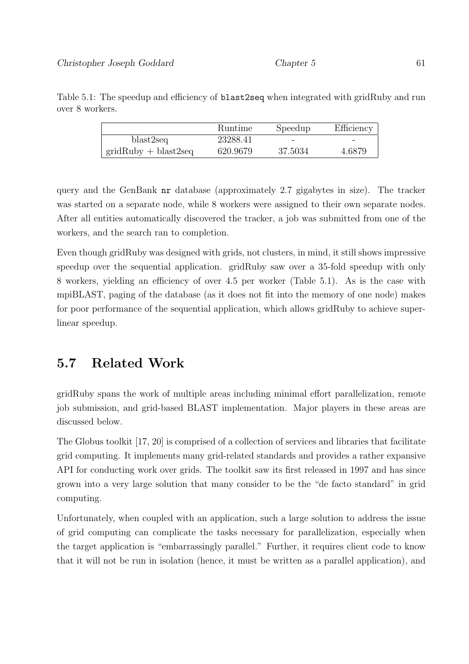|                        | <b>Runtime</b> | Speedup | Efficiency |
|------------------------|----------------|---------|------------|
| blast2seq              | 23288.41       |         |            |
| $gridRuby + blast2seq$ | 620.9679       | 37.5034 | 4.6879     |

Table 5.1: The speedup and efficiency of blast2seq when integrated with gridRuby and run over 8 workers.

query and the GenBank nr database (approximately 2.7 gigabytes in size). The tracker was started on a separate node, while 8 workers were assigned to their own separate nodes. After all entities automatically discovered the tracker, a job was submitted from one of the workers, and the search ran to completion.

Even though gridRuby was designed with grids, not clusters, in mind, it still shows impressive speedup over the sequential application. gridRuby saw over a 35-fold speedup with only 8 workers, yielding an efficiency of over 4.5 per worker (Table 5.1). As is the case with mpiBLAST, paging of the database (as it does not fit into the memory of one node) makes for poor performance of the sequential application, which allows gridRuby to achieve superlinear speedup.

# 5.7 Related Work

gridRuby spans the work of multiple areas including minimal effort parallelization, remote job submission, and grid-based BLAST implementation. Major players in these areas are discussed below.

The Globus toolkit [17, 20] is comprised of a collection of services and libraries that facilitate grid computing. It implements many grid-related standards and provides a rather expansive API for conducting work over grids. The toolkit saw its first released in 1997 and has since grown into a very large solution that many consider to be the "de facto standard" in grid computing.

Unfortunately, when coupled with an application, such a large solution to address the issue of grid computing can complicate the tasks necessary for parallelization, especially when the target application is "embarrassingly parallel." Further, it requires client code to know that it will not be run in isolation (hence, it must be written as a parallel application), and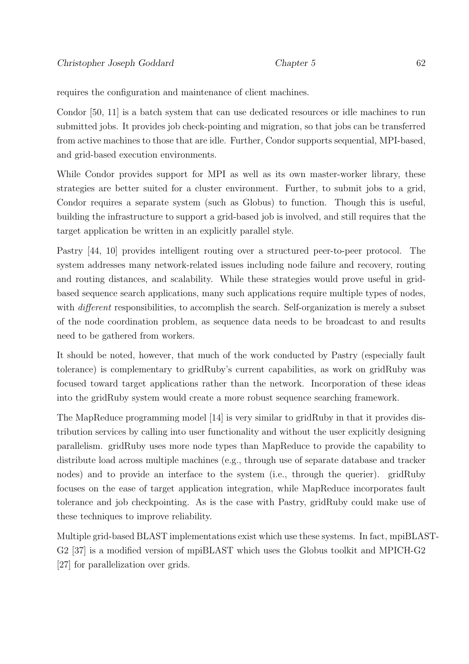requires the configuration and maintenance of client machines.

Condor [50, 11] is a batch system that can use dedicated resources or idle machines to run submitted jobs. It provides job check-pointing and migration, so that jobs can be transferred from active machines to those that are idle. Further, Condor supports sequential, MPI-based, and grid-based execution environments.

While Condor provides support for MPI as well as its own master-worker library, these strategies are better suited for a cluster environment. Further, to submit jobs to a grid, Condor requires a separate system (such as Globus) to function. Though this is useful, building the infrastructure to support a grid-based job is involved, and still requires that the target application be written in an explicitly parallel style.

Pastry [44, 10] provides intelligent routing over a structured peer-to-peer protocol. The system addresses many network-related issues including node failure and recovery, routing and routing distances, and scalability. While these strategies would prove useful in gridbased sequence search applications, many such applications require multiple types of nodes, with *different* responsibilities, to accomplish the search. Self-organization is merely a subset of the node coordination problem, as sequence data needs to be broadcast to and results need to be gathered from workers.

It should be noted, however, that much of the work conducted by Pastry (especially fault tolerance) is complementary to gridRuby's current capabilities, as work on gridRuby was focused toward target applications rather than the network. Incorporation of these ideas into the gridRuby system would create a more robust sequence searching framework.

The MapReduce programming model [14] is very similar to gridRuby in that it provides distribution services by calling into user functionality and without the user explicitly designing parallelism. gridRuby uses more node types than MapReduce to provide the capability to distribute load across multiple machines (e.g., through use of separate database and tracker nodes) and to provide an interface to the system (i.e., through the querier). gridRuby focuses on the ease of target application integration, while MapReduce incorporates fault tolerance and job checkpointing. As is the case with Pastry, gridRuby could make use of these techniques to improve reliability.

Multiple grid-based BLAST implementations exist which use these systems. In fact, mpiBLAST-G2 [37] is a modified version of mpiBLAST which uses the Globus toolkit and MPICH-G2 [27] for parallelization over grids.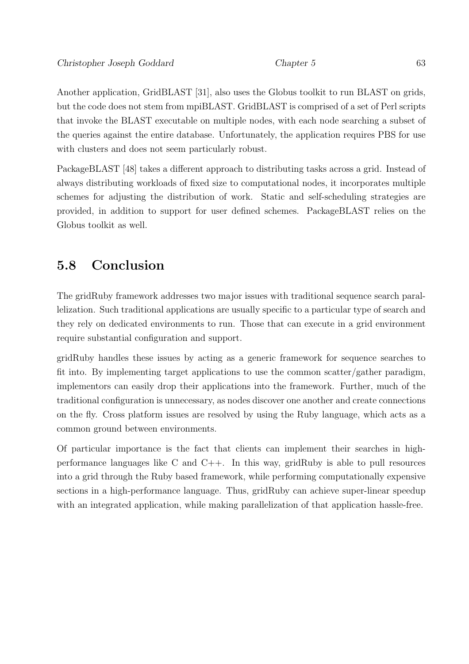Another application, GridBLAST [31], also uses the Globus toolkit to run BLAST on grids, but the code does not stem from mpiBLAST. GridBLAST is comprised of a set of Perl scripts that invoke the BLAST executable on multiple nodes, with each node searching a subset of the queries against the entire database. Unfortunately, the application requires PBS for use with clusters and does not seem particularly robust.

PackageBLAST [48] takes a different approach to distributing tasks across a grid. Instead of always distributing workloads of fixed size to computational nodes, it incorporates multiple schemes for adjusting the distribution of work. Static and self-scheduling strategies are provided, in addition to support for user defined schemes. PackageBLAST relies on the Globus toolkit as well.

## 5.8 Conclusion

The gridRuby framework addresses two major issues with traditional sequence search parallelization. Such traditional applications are usually specific to a particular type of search and they rely on dedicated environments to run. Those that can execute in a grid environment require substantial configuration and support.

gridRuby handles these issues by acting as a generic framework for sequence searches to fit into. By implementing target applications to use the common scatter/gather paradigm, implementors can easily drop their applications into the framework. Further, much of the traditional configuration is unnecessary, as nodes discover one another and create connections on the fly. Cross platform issues are resolved by using the Ruby language, which acts as a common ground between environments.

Of particular importance is the fact that clients can implement their searches in highperformance languages like C and  $C_{++}$ . In this way, gridRuby is able to pull resources into a grid through the Ruby based framework, while performing computationally expensive sections in a high-performance language. Thus, gridRuby can achieve super-linear speedup with an integrated application, while making parallelization of that application has efree.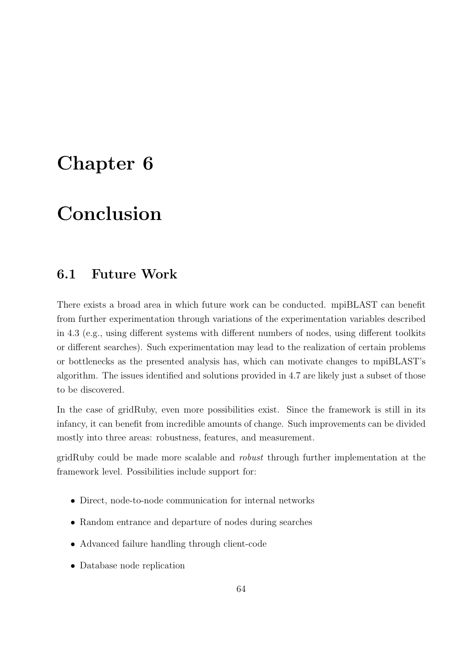# Chapter 6

# Conclusion

## 6.1 Future Work

There exists a broad area in which future work can be conducted. mpiBLAST can benefit from further experimentation through variations of the experimentation variables described in 4.3 (e.g., using different systems with different numbers of nodes, using different toolkits or different searches). Such experimentation may lead to the realization of certain problems or bottlenecks as the presented analysis has, which can motivate changes to mpiBLAST's algorithm. The issues identified and solutions provided in 4.7 are likely just a subset of those to be discovered.

In the case of gridRuby, even more possibilities exist. Since the framework is still in its infancy, it can benefit from incredible amounts of change. Such improvements can be divided mostly into three areas: robustness, features, and measurement.

gridRuby could be made more scalable and robust through further implementation at the framework level. Possibilities include support for:

- Direct, node-to-node communication for internal networks
- Random entrance and departure of nodes during searches
- Advanced failure handling through client-code
- Database node replication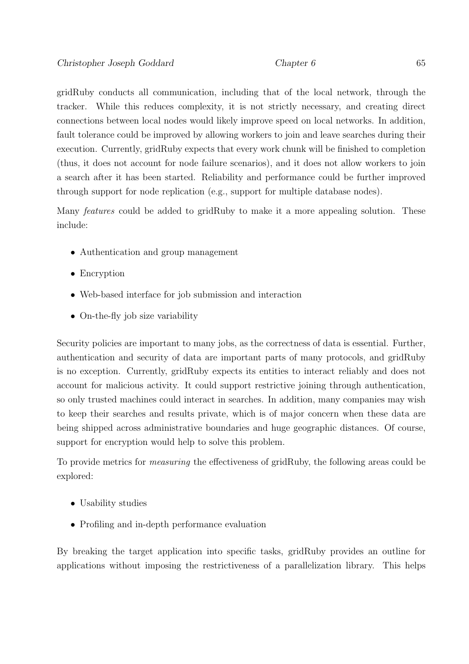gridRuby conducts all communication, including that of the local network, through the tracker. While this reduces complexity, it is not strictly necessary, and creating direct connections between local nodes would likely improve speed on local networks. In addition, fault tolerance could be improved by allowing workers to join and leave searches during their execution. Currently, gridRuby expects that every work chunk will be finished to completion (thus, it does not account for node failure scenarios), and it does not allow workers to join a search after it has been started. Reliability and performance could be further improved through support for node replication (e.g., support for multiple database nodes).

Many features could be added to gridRuby to make it a more appealing solution. These include:

- Authentication and group management
- Encryption
- Web-based interface for job submission and interaction
- On-the-fly job size variability

Security policies are important to many jobs, as the correctness of data is essential. Further, authentication and security of data are important parts of many protocols, and gridRuby is no exception. Currently, gridRuby expects its entities to interact reliably and does not account for malicious activity. It could support restrictive joining through authentication, so only trusted machines could interact in searches. In addition, many companies may wish to keep their searches and results private, which is of major concern when these data are being shipped across administrative boundaries and huge geographic distances. Of course, support for encryption would help to solve this problem.

To provide metrics for measuring the effectiveness of gridRuby, the following areas could be explored:

- Usability studies
- Profiling and in-depth performance evaluation

By breaking the target application into specific tasks, gridRuby provides an outline for applications without imposing the restrictiveness of a parallelization library. This helps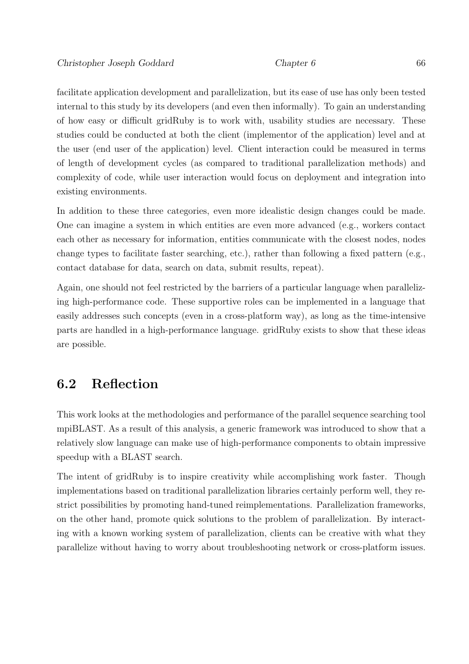facilitate application development and parallelization, but its ease of use has only been tested internal to this study by its developers (and even then informally). To gain an understanding of how easy or difficult gridRuby is to work with, usability studies are necessary. These studies could be conducted at both the client (implementor of the application) level and at the user (end user of the application) level. Client interaction could be measured in terms of length of development cycles (as compared to traditional parallelization methods) and complexity of code, while user interaction would focus on deployment and integration into existing environments.

In addition to these three categories, even more idealistic design changes could be made. One can imagine a system in which entities are even more advanced (e.g., workers contact each other as necessary for information, entities communicate with the closest nodes, nodes change types to facilitate faster searching, etc.), rather than following a fixed pattern (e.g., contact database for data, search on data, submit results, repeat).

Again, one should not feel restricted by the barriers of a particular language when parallelizing high-performance code. These supportive roles can be implemented in a language that easily addresses such concepts (even in a cross-platform way), as long as the time-intensive parts are handled in a high-performance language. gridRuby exists to show that these ideas are possible.

### 6.2 Reflection

This work looks at the methodologies and performance of the parallel sequence searching tool mpiBLAST. As a result of this analysis, a generic framework was introduced to show that a relatively slow language can make use of high-performance components to obtain impressive speedup with a BLAST search.

The intent of gridRuby is to inspire creativity while accomplishing work faster. Though implementations based on traditional parallelization libraries certainly perform well, they restrict possibilities by promoting hand-tuned reimplementations. Parallelization frameworks, on the other hand, promote quick solutions to the problem of parallelization. By interacting with a known working system of parallelization, clients can be creative with what they parallelize without having to worry about troubleshooting network or cross-platform issues.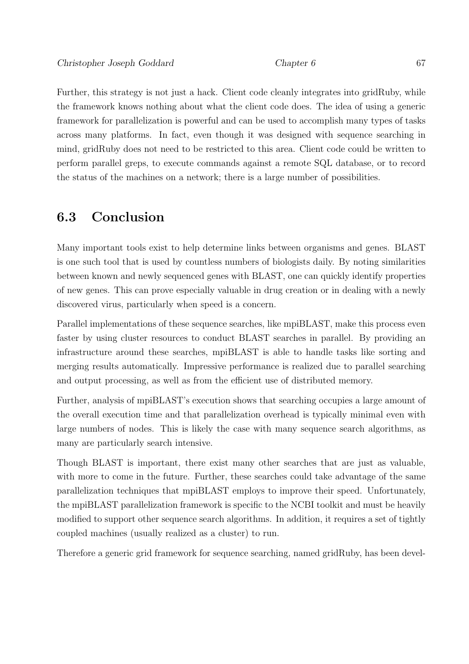Further, this strategy is not just a hack. Client code cleanly integrates into gridRuby, while the framework knows nothing about what the client code does. The idea of using a generic framework for parallelization is powerful and can be used to accomplish many types of tasks across many platforms. In fact, even though it was designed with sequence searching in mind, gridRuby does not need to be restricted to this area. Client code could be written to perform parallel greps, to execute commands against a remote SQL database, or to record the status of the machines on a network; there is a large number of possibilities.

## 6.3 Conclusion

Many important tools exist to help determine links between organisms and genes. BLAST is one such tool that is used by countless numbers of biologists daily. By noting similarities between known and newly sequenced genes with BLAST, one can quickly identify properties of new genes. This can prove especially valuable in drug creation or in dealing with a newly discovered virus, particularly when speed is a concern.

Parallel implementations of these sequence searches, like mpiBLAST, make this process even faster by using cluster resources to conduct BLAST searches in parallel. By providing an infrastructure around these searches, mpiBLAST is able to handle tasks like sorting and merging results automatically. Impressive performance is realized due to parallel searching and output processing, as well as from the efficient use of distributed memory.

Further, analysis of mpiBLAST's execution shows that searching occupies a large amount of the overall execution time and that parallelization overhead is typically minimal even with large numbers of nodes. This is likely the case with many sequence search algorithms, as many are particularly search intensive.

Though BLAST is important, there exist many other searches that are just as valuable, with more to come in the future. Further, these searches could take advantage of the same parallelization techniques that mpiBLAST employs to improve their speed. Unfortunately, the mpiBLAST parallelization framework is specific to the NCBI toolkit and must be heavily modified to support other sequence search algorithms. In addition, it requires a set of tightly coupled machines (usually realized as a cluster) to run.

Therefore a generic grid framework for sequence searching, named gridRuby, has been devel-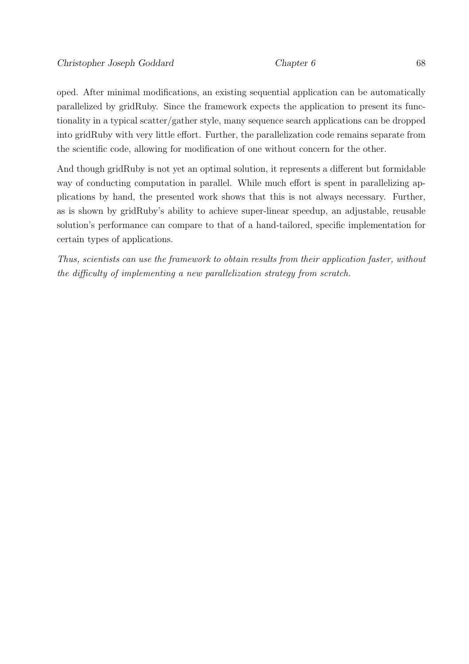oped. After minimal modifications, an existing sequential application can be automatically parallelized by gridRuby. Since the framework expects the application to present its functionality in a typical scatter/gather style, many sequence search applications can be dropped into gridRuby with very little effort. Further, the parallelization code remains separate from the scientific code, allowing for modification of one without concern for the other.

And though gridRuby is not yet an optimal solution, it represents a different but formidable way of conducting computation in parallel. While much effort is spent in parallelizing applications by hand, the presented work shows that this is not always necessary. Further, as is shown by gridRuby's ability to achieve super-linear speedup, an adjustable, reusable solution's performance can compare to that of a hand-tailored, specific implementation for certain types of applications.

Thus, scientists can use the framework to obtain results from their application faster, without the difficulty of implementing a new parallelization strategy from scratch.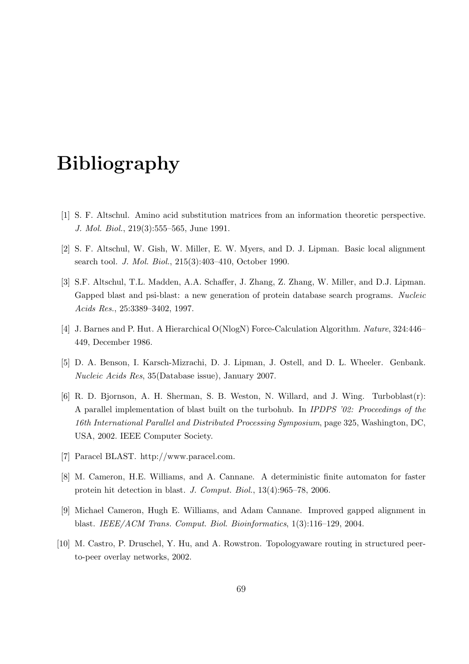# Bibliography

- [1] S. F. Altschul. Amino acid substitution matrices from an information theoretic perspective. J. Mol. Biol., 219(3):555-565, June 1991.
- [2] S. F. Altschul, W. Gish, W. Miller, E. W. Myers, and D. J. Lipman. Basic local alignment search tool. J. Mol. Biol., 215(3):403–410, October 1990.
- [3] S.F. Altschul, T.L. Madden, A.A. Schaffer, J. Zhang, Z. Zhang, W. Miller, and D.J. Lipman. Gapped blast and psi-blast: a new generation of protein database search programs. Nucleic Acids Res., 25:3389–3402, 1997.
- [4] J. Barnes and P. Hut. A Hierarchical O(NlogN) Force-Calculation Algorithm. Nature, 324:446– 449, December 1986.
- [5] D. A. Benson, I. Karsch-Mizrachi, D. J. Lipman, J. Ostell, and D. L. Wheeler. Genbank. Nucleic Acids Res, 35(Database issue), January 2007.
- [6] R. D. Bjornson, A. H. Sherman, S. B. Weston, N. Willard, and J. Wing. Turboblast(r): A parallel implementation of blast built on the turbohub. In IPDPS '02: Proceedings of the 16th International Parallel and Distributed Processing Symposium, page 325, Washington, DC, USA, 2002. IEEE Computer Society.
- [7] Paracel BLAST. http://www.paracel.com.
- [8] M. Cameron, H.E. Williams, and A. Cannane. A deterministic finite automaton for faster protein hit detection in blast. J. Comput. Biol., 13(4):965–78, 2006.
- [9] Michael Cameron, Hugh E. Williams, and Adam Cannane. Improved gapped alignment in blast. IEEE/ACM Trans. Comput. Biol. Bioinformatics, 1(3):116–129, 2004.
- [10] M. Castro, P. Druschel, Y. Hu, and A. Rowstron. Topologyaware routing in structured peerto-peer overlay networks, 2002.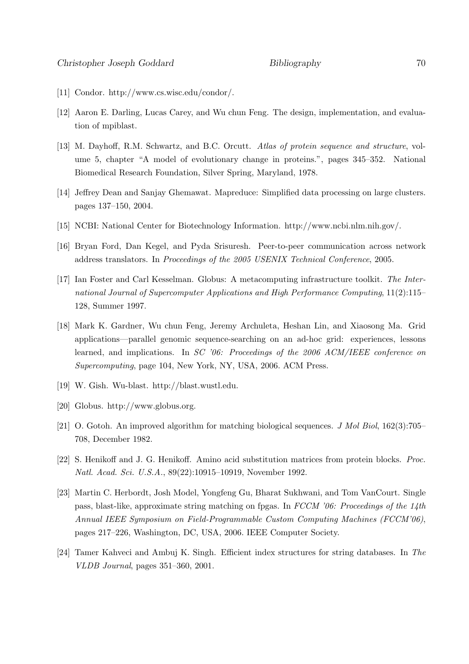- [11] Condor. http://www.cs.wisc.edu/condor/.
- [12] Aaron E. Darling, Lucas Carey, and Wu chun Feng. The design, implementation, and evaluation of mpiblast.
- [13] M. Dayhoff, R.M. Schwartz, and B.C. Orcutt. Atlas of protein sequence and structure, volume 5, chapter "A model of evolutionary change in proteins.", pages 345–352. National Biomedical Research Foundation, Silver Spring, Maryland, 1978.
- [14] Jeffrey Dean and Sanjay Ghemawat. Mapreduce: Simplified data processing on large clusters. pages 137–150, 2004.
- [15] NCBI: National Center for Biotechnology Information. http://www.ncbi.nlm.nih.gov/.
- [16] Bryan Ford, Dan Kegel, and Pyda Srisuresh. Peer-to-peer communication across network address translators. In Proceedings of the 2005 USENIX Technical Conference, 2005.
- [17] Ian Foster and Carl Kesselman. Globus: A metacomputing infrastructure toolkit. The International Journal of Supercomputer Applications and High Performance Computing, 11(2):115– 128, Summer 1997.
- [18] Mark K. Gardner, Wu chun Feng, Jeremy Archuleta, Heshan Lin, and Xiaosong Ma. Grid applications—parallel genomic sequence-searching on an ad-hoc grid: experiences, lessons learned, and implications. In SC '06: Proceedings of the 2006 ACM/IEEE conference on Supercomputing, page 104, New York, NY, USA, 2006. ACM Press.
- [19] W. Gish. Wu-blast. http://blast.wustl.edu.
- [20] Globus. http://www.globus.org.
- [21] O. Gotoh. An improved algorithm for matching biological sequences. J Mol Biol, 162(3):705– 708, December 1982.
- [22] S. Henikoff and J. G. Henikoff. Amino acid substitution matrices from protein blocks. Proc. Natl. Acad. Sci. U.S.A., 89(22):10915–10919, November 1992.
- [23] Martin C. Herbordt, Josh Model, Yongfeng Gu, Bharat Sukhwani, and Tom VanCourt. Single pass, blast-like, approximate string matching on fpgas. In  $FCCM$  '06: Proceedings of the 14th Annual IEEE Symposium on Field-Programmable Custom Computing Machines (FCCM'06), pages 217–226, Washington, DC, USA, 2006. IEEE Computer Society.
- [24] Tamer Kahveci and Ambuj K. Singh. Efficient index structures for string databases. In The VLDB Journal, pages 351–360, 2001.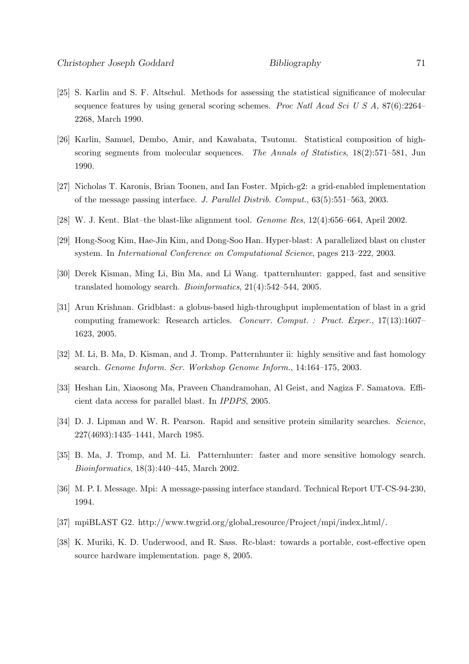- [25] S. Karlin and S. F. Altschul. Methods for assessing the statistical significance of molecular sequence features by using general scoring schemes. *Proc Natl Acad Sci U S A*, 87(6):2264– 2268, March 1990.
- [26] Karlin, Samuel, Dembo, Amir, and Kawabata, Tsutomu. Statistical composition of highscoring segments from molecular sequences. The Annals of Statistics,  $18(2):571-581$ , Jun 1990.
- [27] Nicholas T. Karonis, Brian Toonen, and Ian Foster. Mpich-g2: a grid-enabled implementation of the message passing interface. J. Parallel Distrib. Comput., 63(5):551–563, 2003.
- [28] W. J. Kent. Blat–the blast-like alignment tool. Genome Res, 12(4):656–664, April 2002.
- [29] Hong-Soog Kim, Hae-Jin Kim, and Dong-Soo Han. Hyper-blast: A parallelized blast on cluster system. In International Conference on Computational Science, pages 213–222, 2003.
- [30] Derek Kisman, Ming Li, Bin Ma, and Li Wang. tpatternhunter: gapped, fast and sensitive translated homology search. Bioinformatics, 21(4):542–544, 2005.
- [31] Arun Krishnan. Gridblast: a globus-based high-throughput implementation of blast in a grid computing framework: Research articles. Concurr. Comput. : Pract. Exper., 17(13):1607– 1623, 2005.
- [32] M. Li, B. Ma, D. Kisman, and J. Tromp. Patternhunter ii: highly sensitive and fast homology search. Genome Inform. Ser. Workshop Genome Inform., 14:164–175, 2003.
- [33] Heshan Lin, Xiaosong Ma, Praveen Chandramohan, Al Geist, and Nagiza F. Samatova. Efficient data access for parallel blast. In IPDPS, 2005.
- [34] D. J. Lipman and W. R. Pearson. Rapid and sensitive protein similarity searches. Science, 227(4693):1435–1441, March 1985.
- [35] B. Ma, J. Tromp, and M. Li. Patternhunter: faster and more sensitive homology search. Bioinformatics, 18(3):440–445, March 2002.
- [36] M. P. I. Message. Mpi: A message-passing interface standard. Technical Report UT-CS-94-230, 1994.
- [37] mpiBLAST G2. http://www.twgrid.org/global resource/Project/mpi/index html/.
- [38] K. Muriki, K. D. Underwood, and R. Sass. Rc-blast: towards a portable, cost-effective open source hardware implementation. page 8, 2005.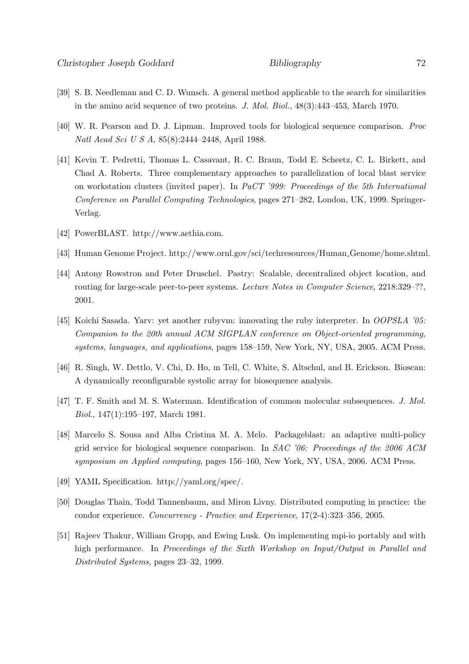- [39] S. B. Needleman and C. D. Wunsch. A general method applicable to the search for similarities in the amino acid sequence of two proteins. J. Mol. Biol., 48(3):443–453, March 1970.
- [40] W. R. Pearson and D. J. Lipman. Improved tools for biological sequence comparison. Proc Natl Acad Sci U S A, 85(8):2444–2448, April 1988.
- [41] Kevin T. Pedretti, Thomas L. Casavant, R. C. Braun, Todd E. Scheetz, C. L. Birkett, and Chad A. Roberts. Three complementary approaches to parallelization of local blast service on workstation clusters (invited paper). In PaCT '999: Proceedings of the 5th International Conference on Parallel Computing Technologies, pages 271–282, London, UK, 1999. Springer-Verlag.
- [42] PowerBLAST. http://www.aethia.com.
- [43] Human Genome Project. http://www.ornl.gov/sci/techresources/Human Genome/home.shtml.
- [44] Antony Rowstron and Peter Druschel. Pastry: Scalable, decentralized object location, and routing for large-scale peer-to-peer systems. Lecture Notes in Computer Science, 2218:329–??, 2001.
- [45] Koichi Sasada. Yarv: yet another rubyvm: innovating the ruby interpreter. In OOPSLA '05: Companion to the 20th annual ACM SIGPLAN conference on Object-oriented programming, systems, languages, and applications, pages 158–159, New York, NY, USA, 2005. ACM Press.
- [46] R. Singh, W. Dettlo, V. Chi, D. Ho, m Tell, C. White, S. Altschul, and B. Erickson. Bioscan: A dynamically reconfigurable systolic array for biosequence analysis.
- [47] T. F. Smith and M. S. Waterman. Identification of common molecular subsequences. J. Mol. Biol., 147(1):195–197, March 1981.
- [48] Marcelo S. Sousa and Alba Cristina M. A. Melo. Packageblast: an adaptive multi-policy grid service for biological sequence comparison. In SAC '06: Proceedings of the 2006 ACM symposium on Applied computing, pages 156–160, New York, NY, USA, 2006. ACM Press.
- [49] YAML Specification. http://yaml.org/spec/.
- [50] Douglas Thain, Todd Tannenbaum, and Miron Livny. Distributed computing in practice: the condor experience. Concurrency - Practice and Experience, 17(2-4):323–356, 2005.
- [51] Rajeev Thakur, William Gropp, and Ewing Lusk. On implementing mpi-io portably and with high performance. In Proceedings of the Sixth Workshop on Input/Output in Parallel and Distributed Systems, pages 23–32, 1999.